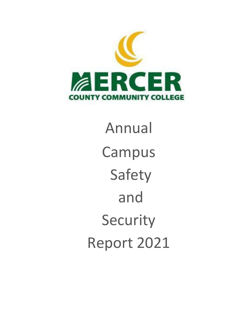

Annual Campus Safety and Security Report 2021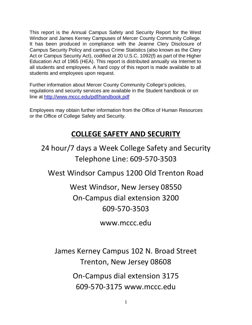This report is the Annual Campus Safety and Security Report for the West Windsor and James Kerney Campuses of Mercer County Community College. It has been produced in compliance with the Jeanne Clery Disclosure of Campus Security Policy and campus Crime Statistics (also known as the Clery Act or Campus Security Act), codified at 20 U.S.C. 1092(f) as part of the Higher Education Act of 1965 (HEA). This report is distributed annually via Internet to all students and employees. A hard copy of this report is made available to all students and employees upon request.

Further information about Mercer County Community College's policies, regulations and security services are available in the Student handbook or on line at<http://www.mccc.edu/pdf/handbook.pdf>

Employees may obtain further information from the Office of Human Resources or the Office of College Safety and Security.

# **COLLEGE SAFETY AND SECURITY**

24 hour/7 days a Week College Safety and Security Telephone Line: 609-570-3503

West Windsor Campus 1200 Old Trenton Road

West Windsor, New Jersey 08550 On-Campus dial extension 3200 609-570-3503

www.mccc.edu

James Kerney Campus 102 N. Broad Street Trenton, New Jersey 08608

> On-Campus dial extension 3175 609-570-3175 www.mccc.edu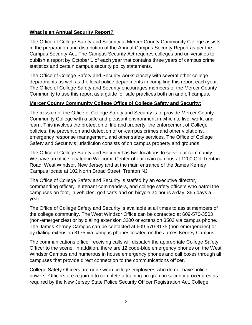#### **What is an Annual Security Report?**

The Office of College Safety and Security at Mercer County Community College assists in the preparation and distribution of the Annual Campus Security Report as per the Campus Security Act. The Campus Security Act requires colleges and universities to publish a report by October 1 of each year that contains three years of campus crime statistics and certain campus security policy statements.

The Office of College Safety and Security works closely with several other college departments as well as the local police departments in compiling this report each year. The Office of College Safety and Security encourages members of the Mercer County Community to use this report as a guide for safe practices both on and off campus.

#### **Mercer County Community College Office of College Safety and Security:**

The mission of the Office of College Safety and Security is to provide Mercer County Community College with a safe and pleasant environment in which to live, work, and learn. This involves the protection of life and property, the enforcement of College policies, the prevention and detection of on-campus crimes and other violations, emergency response management, and other safety services. The Office of College Safety and Security's jurisdiction consists of on campus property and grounds.

The Office of College Safety and Security has two locations to serve our community. We have an office located in Welcome Center of our main campus at 1200 Old Trenton Road, West Windsor, New Jersey and at the main entrance of the James Kerney Campus locate at 102 North Broad Street, Trenton NJ.

The Office of College Safety and Security is staffed by an executive director, commanding officer, lieutenant commanders, and college safety officers who patrol the campuses on foot, in vehicles, golf carts and on bicycle 24 hours a day, 365 days a year.

The Office of College Safety and Security is available at all times to assist members of the college community. The West Windsor Office can be contacted at 609-570-3503 (non-emergencies) or by dialing extension 3200 or extension 3503 via campus phone. The James Kerney Campus can be contacted at 609-570-3175 (non-emergencies) or by dialing extension 3175 via campus phones located on the James Kerney Campus.

The communications officer receiving calls will dispatch the appropriate College Safety Officer to the scene. In addition, there are 12 code-blue emergency phones on the West Windsor Campus and numerous in house emergency phones and call boxes through all campuses that provide direct connection to the communications officer.

College Safety Officers are non-sworn college employees who do not have police powers. Officers are required to complete a training program in security procedures as required by the New Jersey State Police Security Officer Registration Act. College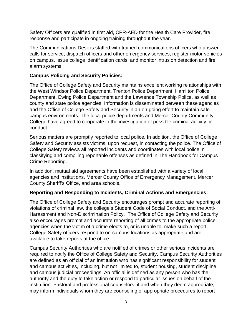Safety Officers are qualified in first aid, CPR-AED for the Health Care Provider, fire response and participate in ongoing training throughout the year.

The Communications Desk is staffed with trained communications officers who answer calls for service, dispatch officers and other emergency services, register motor vehicles on campus, issue college identification cards, and monitor intrusion detection and fire alarm systems.

#### **Campus Policing and Security Policies:**

The Office of College Safety and Security maintains excellent working relationships with the West Windsor Police Department, Trenton Police Department, Hamilton Police Department, Ewing Police Department and the Lawrence Township Police, as well as county and state police agencies. Information is disseminated between these agencies and the Office of College Safety and Security in an on-going effort to maintain safe campus environments. The local police departments and Mercer County Community College have agreed to cooperate in the investigation of possible criminal activity or conduct.

Serious matters are promptly reported to local police. In addition, the Office of College Safety and Security assists victims, upon request, in contacting the police. The Office of College Safety reviews all reported incidents and coordinates with local police in classifying and compiling reportable offenses as defined in The Handbook for Campus Crime Reporting.

In addition, mutual aid agreements have been established with a variety of local agencies and institutions, Mercer County Office of Emergency Management, Mercer County Sheriff's Office, and area schools.

## **Reporting and Responding to Incidents, Criminal Actions and Emergencies:**

The Office of College Safety and Security encourages prompt and accurate reporting of violations of criminal law, the college's Student Code of Social Conduct, and the Anti-Harassment and Non-Discrimination Policy. The Office of College Safety and Security also encourages prompt and accurate reporting of all crimes to the appropriate police agencies when the victim of a crime elects to, or is unable to, make such a report. College Safety officers respond to on-campus locations as appropriate and are available to take reports at the office.

Campus Security Authorities who are notified of crimes or other serious incidents are required to notify the Office of College Safety and Security. Campus Security Authorities are defined as an official of an institution who has significant responsibility for student and campus activities, including, but not limited to, student housing, student discipline and campus judicial proceedings. An official is defined as any person who has the authority and the duty to take action or respond to particular issues on behalf of the institution. Pastoral and professional counselors, if and when they deem appropriate, may inform individuals whom they are counseling of appropriate procedures to report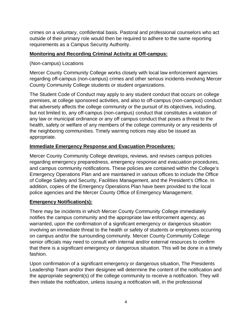crimes on a voluntary, confidential basis. Pastoral and professional counselors who act outside of their primary role would then be required to adhere to the same reporting requirements as a Campus Security Authority.

#### **Monitoring and Recording Criminal Activity at Off-campus:**

(Non-campus) Locations

Mercer County Community College works closely with local law enforcement agencies regarding off-campus (non-campus) crimes and other serious incidents involving Mercer County Community College students or student organizations.

The Student Code of Conduct may apply to any student conduct that occurs on college premises, at college sponsored activities, and also to off-campus (non-campus) conduct that adversely affects the college community or the pursuit of its objectives, including, but not limited to, any off-campus (non-campus) conduct that constitutes a violation of any law or municipal ordinance or any off campus conduct that poses a threat to the health, safety or welfare of any members of the college community or any residents of the neighboring communities. Timely warning notices may also be issued as appropriate.

## **Immediate Emergency Response and Evacuation Procedures:**

Mercer County Community College develops, reviews, and revises campus policies regarding emergency preparedness, emergency response and evacuation procedures, and campus community notifications. These policies are contained within the College's Emergency Operations Plan and are maintained in various offices to include the Office of College Safety and Security, Facilities Management, and the President's Office. In addition, copies of the Emergency Operations Plan have been provided to the local police agencies and the Mercer County Office of Emergency Management.

## **Emergency Notification(s):**

There may be incidents in which Mercer County Community College immediately notifies the campus community and the appropriate law enforcement agency, as warranted, upon the confirmation of a significant emergency or dangerous situation involving an immediate threat to the health or safety of students or employees occurring on campus and/or the surrounding community. Mercer County Community College senior officials may need to consult with internal and/or external resources to confirm that there is a significant emergency or dangerous situation. This will be done in a timely fashion.

Upon confirmation of a significant emergency or dangerous situation, The Presidents Leadership Team and/or their designee will determine the content of the notification and the appropriate segment(s) of the college community to receive a notification. They will then initiate the notification, unless issuing a notification will, in the professional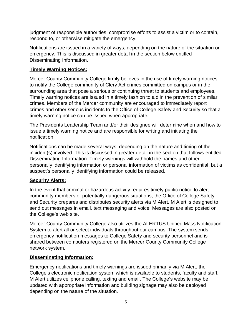judgment of responsible authorities, compromise efforts to assist a victim or to contain, respond to, or otherwise mitigate the emergency.

Notifications are issued in a variety of ways, depending on the nature of the situation or emergency. This is discussed in greater detail in the section below entitled Disseminating Information.

## **Timely Warning Notices:**

Mercer County Community College firmly believes in the use of timely warning notices to notify the College community of Clery Act crimes committed on campus or in the surrounding area that pose a serious or continuing threat to students and employees. Timely warning notices are issued in a timely fashion to aid in the prevention of similar crimes. Members of the Mercer community are encouraged to immediately report crimes and other serious incidents to the Office of College Safety and Security so that a timely warning notice can be issued when appropriate.

The Presidents Leadership Team and/or their designee will determine when and how to issue a timely warning notice and are responsible for writing and initiating the notification.

Notifications can be made several ways, depending on the nature and timing of the incident(s) involved. This is discussed in greater detail in the section that follows entitled Disseminating Information. Timely warnings will withhold the names and other personally identifying information or personal information of victims as confidential, but a suspect's personally identifying information could be released.

#### **Security Alerts:**

In the event that criminal or hazardous activity requires timely public notice to alert community members of potentially dangerous situations, the Office of College Safety and Security prepares and distributes security alerts via M Alert. M Alert is designed to send out messages in email, text messaging and voice. Messages are also posted on the College's web site.

Mercer County Community College also utilizes the ALERTUS Unified Mass Notification System to alert all or select individuals throughout our campus. The system sends emergency notification messages to College Safety and security personnel and is shared between computers registered on the Mercer County Community College network system.

#### **Disseminating Information:**

Emergency notifications and timely warnings are issued primarily via M Alert, the College's electronic notification system which is available to students, faculty and staff. M Alert utilizes cellphone calling, texting and email. The College's website may be updated with appropriate information and building signage may also be deployed depending on the nature of the situation.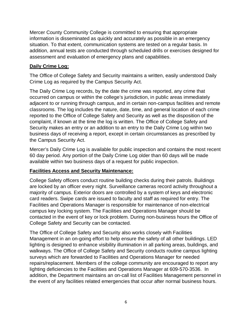Mercer County Community College is committed to ensuring that appropriate information is disseminated as quickly and accurately as possible in an emergency situation. To that extent, communication systems are tested on a regular basis. In addition, annual tests are conducted through scheduled drills or exercises designed for assessment and evaluation of emergency plans and capabilities.

#### **Daily Crime Log:**

The Office of College Safety and Security maintains a written, easily understood Daily Crime Log as required by the Campus Security Act.

The Daily Crime Log records, by the date the crime was reported, any crime that occurred on campus or within the college's jurisdiction, in public areas immediately adjacent to or running through campus, and in certain non-campus facilities and remote classrooms. The log includes the nature, date, time, and general location of each crime reported to the Office of College Safety and Security as well as the disposition of the complaint, if known at the time the log is written. The Office of College Safety and Security makes an entry or an addition to an entry to the Daily Crime Log within two business days of receiving a report, except in certain circumstances as prescribed by the Campus Security Act.

Mercer's Daily Crime Log is available for public inspection and contains the most recent 60 day period. Any portion of the Daily Crime Log older than 60 days will be made available within two business days of a request for public inspection.

#### **Facilities Access and Security Maintenance:**

College Safety officers conduct routine building checks during their patrols. Buildings are locked by an officer every night. Surveillance cameras record activity throughout a majority of campus. Exterior doors are controlled by a system of keys and electronic card readers. Swipe cards are issued to faculty and staff as required for entry. The Facilities and Operations Manager is responsible for maintenance of non-electrical campus key locking system. The Facilities and Operations Manager should be contacted in the event of key or lock problem. During non-business hours the Office of College Safety and Security can be contacted.

The Office of College Safety and Security also works closely with Facilities Management in an on-going effort to help ensure the safety of all other buildings. LED lighting is designed to enhance visibility illumination in all parking areas, buildings, and walkways. The Office of College Safety and Security conducts routine campus lighting surveys which are forwarded to Facilities and Operations Manager for needed repairs/replacement. Members of the college community are encouraged to report any lighting deficiencies to the Facilities and Operations Manager at 609-570-3536. In addition, the Department maintains an on-call list of Facilities Management personnel in the event of any facilities related emergencies that occur after normal business hours.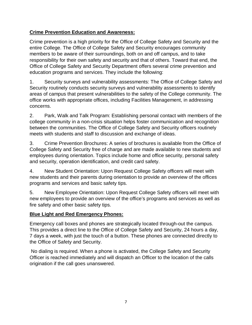## **Crime Prevention Education and Awareness:**

Crime prevention is a high priority for the Office of College Safety and Security and the entire College. The Office of College Safety and Security encourages community members to be aware of their surroundings, both on and off campus, and to take responsibility for their own safety and security and that of others. Toward that end, the Office of College Safety and Security Department offers several crime prevention and education programs and services. They include the following:

1. Security surveys and vulnerability assessments: The Office of College Safety and Security routinely conducts security surveys and vulnerability assessments to identify areas of campus that present vulnerabilities to the safety of the College community. The office works with appropriate offices, including Facilities Management, in addressing concerns.

2. Park, Walk and Talk Program: Establishing personal contact with members of the college community in a non-crisis situation helps foster communication and recognition between the communities. The Office of College Safety and Security officers routinely meets with students and staff to discussion and exchange of ideas.

3. Crime Prevention Brochures: A series of brochures is available from the Office of College Safety and Security free of charge and are made available to new students and employees during orientation. Topics include home and office security, personal safety and security, operation identification, and credit card safety.

4. New Student Orientation: Upon Request College Safety officers will meet with new students and their parents during orientation to provide an overview of the offices programs and services and basic safety tips.

5. New Employee Orientation: Upon Request College Safety officers will meet with new employees to provide an overview of the office's programs and services as well as fire safety and other basic safety tips.

## **Blue Light and Red Emergency Phones:**

Emergency call boxes and phones are strategically located through-out the campus. This provides a direct line to the Office of College Safety and Security, 24 hours a day, 7 days a week, with just the touch of a button. These phones are connected directly to the Office of Safety and Security.

No dialing is required. When a phone is activated, the College Safety and Security Officer is reached immediately and will dispatch an Officer to the location of the calls origination if the call goes unanswered.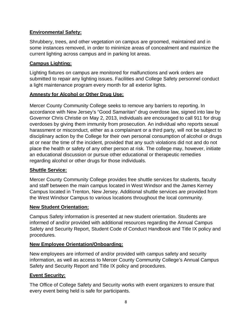### **Environmental Safety:**

Shrubbery, trees, and other vegetation on campus are groomed, maintained and in some instances removed, in order to minimize areas of concealment and maximize the current lighting across campus and in parking lot areas.

#### **Campus Lighting:**

Lighting fixtures on campus are monitored for malfunctions and work orders are submitted to repair any lighting issues. Facilities and College Safety personnel conduct a light maintenance program every month for all exterior lights.

#### **Amnesty for Alcohol or Other Drug Use:**

Mercer County Community College seeks to remove any barriers to reporting. In accordance with [New Jersey's "Good Samaritan" drug overdose law, s](http://www.ncsl.org/research/civil-and-criminal-justice/drug-overdose-immunity-good-samaritan-laws.aspx)igned into law by Governor Chris Christie on May 2, 2013, individuals are encouraged to call 911 for drug overdoses by giving them immunity from prosecution. An individual who reports sexual harassment or misconduct, either as a complainant or a third party, will not be subject to disciplinary action by the College for their own personal consumption of alcohol or drugs at or near the time of the incident, provided that any such violations did not and do not place the health or safety of any other person at risk. The college may, however, initiate an educational discussion or pursue other educational or therapeutic remedies regarding alcohol or other drugs for those individuals.

#### **Shuttle Service:**

Mercer County Community College provides free shuttle services for students, faculty and staff between the main campus located in West Windsor and the James Kerney Campus located in Trenton, New Jersey. Additional shuttle services are provided from the West Windsor Campus to various locations throughout the local community.

#### **New Student Orientation:**

Campus Safety information is presented at new student orientation. Students are informed of and/or provided with additional resources regarding the Annual Campus Safety and Security Report, Student Code of Conduct Handbook and Title IX policy and procedures.

#### **New Employee Orientation/Onboarding:**

New employees are informed of and/or provided with campus safety and security information, as well as access to Mercer County Community College's Annual Campus Safety and Security Report and Title IX policy and procedures.

#### **Event Security:**

The Office of College Safety and Security works with event organizers to ensure that every event being held is safe for participants.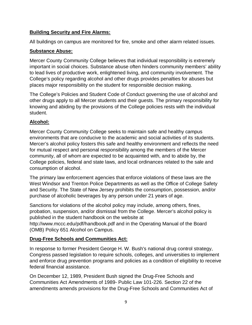#### **Building Security and Fire Alarms:**

All buildings on campus are monitored for fire, smoke and other alarm related issues.

#### **Substance Abuse:**

Mercer County Community College believes that individual responsibility is extremely important in social choices. Substance abuse often hinders community members' ability to lead lives of productive work, enlightened living, and community involvement. The College's policy regarding alcohol and other drugs provides penalties for abuses but places major responsibility on the student for responsible decision making.

The College's Policies and Student Code of Conduct governing the use of alcohol and other drugs apply to all Mercer students and their guests. The primary responsibility for knowing and abiding by the provisions of the College policies rests with the individual student.

## **Alcohol:**

Mercer County Community College seeks to maintain safe and healthy campus environments that are conducive to the academic and social activities of its students. Mercer's alcohol policy fosters this safe and healthy environment and reflects the need for mutual respect and personal responsibility among the members of the Mercer community, all of whom are expected to be acquainted with, and to abide by, the College policies, federal and state laws, and local ordinances related to the sale and consumption of alcohol.

The primary law enforcement agencies that enforce violations of these laws are the West Windsor and Trenton Police Departments as well as the Office of College Safety and Security. The State of New Jersey prohibits the consumption, possession, and/or purchase of alcoholic beverages by any person under 21 years of age.

Sanctions for violations of the alcohol policy may include, among others, fines, probation, suspension, and/or dismissal from the College. Mercer's alcohol policy is published in the student handbook on the website at

http://www.mccc.edu/pdf/handbook.pdf and in the Operating Manual of the Board (OMB) Policy 651 Alcohol on Campus.

## **Drug-Free Schools and Communities Act:**

In response to former President George H. W. Bush's national drug control strategy, Congress passed legislation to require schools, colleges, and universities to implement and enforce drug prevention programs and policies as a condition of eligibility to receive federal financial assistance.

On December 12, 1989, President Bush signed the Drug-Free Schools and Communities Act Amendments of 1989- Public Law 101-226. Section 22 of the amendments amends provisions for the Drug-Free Schools and Communities Act of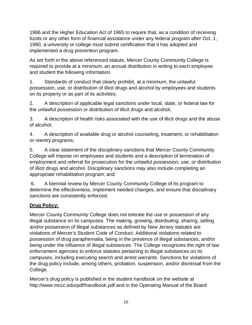1986 and the Higher Education Act of 1965 to require that, as a condition of receiving funds or any other form of financial assistance under any federal program after Oct. 1, 1990, a university or college must submit certification that it has adopted and implemented a drug prevention program.

As set forth in the above referenced statute, Mercer County Community College is required to provide at a minimum, an annual distribution in writing to each employee and student the following information.

1. Standards of conduct that clearly prohibit, at a minimum, the unlawful possession, use, or distribution of illicit drugs and alcohol by employees and students on its property or as part of its activities;

2. A description of applicable legal sanctions under local, state, or federal law for the unlawful possession or distribution of illicit drugs and alcohol;

3. A description of health risks associated with the use of illicit drugs and the abuse of alcohol;

4. A description of available drug or alcohol counseling, treatment, or rehabilitation or reentry programs;

5. A clear statement of the disciplinary sanctions that Mercer County Community College will impose on employees and students and a description of termination of employment and referral for prosecution for the unlawful possession, use, or distribution of illicit drugs and alcohol. Disciplinary sanctions may also include completing an appropriate rehabilitation program; and

6. A biennial review by Mercer County Community College of its program to determine the effectiveness, implement needed changes, and ensure that disciplinary sanctions are consistently enforced.

## **Drug Policy:**

Mercer County Community College does not tolerate the use or possession of any illegal substance on its campuses. The making, growing, distributing, sharing, selling and/or possession of illegal substances as defined by New Jersey statutes are violations of Mercer's Student Code of Conduct. Additional violations related to possession of drug paraphernalia, being in the presence of illegal substances, and/or being under the influence of illegal substances. The College recognizes the right of law enforcement agencies to enforce statutes pertaining to illegal substances on its campuses, including executing search and arrest warrants. Sanctions for violations of the drug policy include, among others, probation, suspension, and/or dismissal from the College.

Mercer's drug policy is published in the student handbook on the website at http://www.mccc.edu/pdf/handbook.pdf and in the Operating Manual of the Board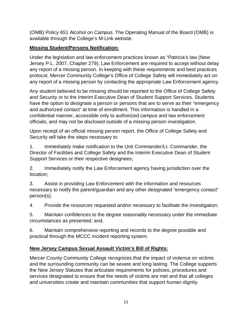(OMB) Policy 651 Alcohol on Campus. The Operating Manual of the Board (OMB) is available through the College's M-Link website.

## **Missing Student/Persons Notification:**

Under the legislation and law enforcement practices known as "Patricia's law (New Jersey P.L. 2007, Chapter 279), Law Enforcement are required to accept without delay any report of a missing person. In keeping with these requirements and best practices protocol, Mercer Community College's Office of College Safety will immediately act on any report of a missing person by contacting the appropriate Law Enforcement agency.

Any student believed to be missing should be reported to the Office of College Safety and Security or to the Interim Executive Dean of Student Support Services. Students have the option to designate a person or persons that are to serve as their "emergency and authorized contact" at time of enrollment. This information is handled in a confidential manner, accessible only to authorized campus and law enforcement officials, and may not be disclosed outside of a missing person investigation.

Upon receipt of an official missing person report, the Office of College Safety and Security will take the steps necessary to:

1. Immediately make notification to the Unit Commander/Lt. Commander, the Director of Facilities and College Safety and the Interim Executive Dean of Student Support Services or their respective designees;

2. Immediately notify the Law Enforcement agency having jurisdiction over the location;

3. Assist in providing Law Enforcement with the information and resources necessary to notify the parent/guardian and any other designated "emergency contact" person(s);

4. Provide the resources requested and/or necessary to facilitate the investigation;

5. Maintain confidences to the degree reasonably necessary under the immediate circumstances as presented; and,

6. Maintain comprehensive reporting and records to the degree possible and practical through the MCCC incident reporting system.

## **New Jersey Campus Sexual Assault Victim's Bill of Rights:**

Mercer County Community College recognizes that the impact of violence on victims and the surrounding community can be severe and long lasting. The College supports the New Jersey Statutes that articulate requirements for policies, procedures and services designated to ensure that the needs of victims are met and that all colleges and universities create and maintain communities that support human dignity.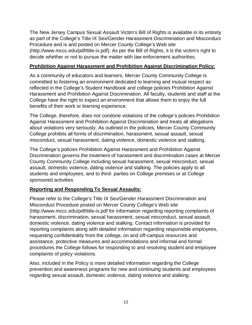The New Jersey Campus Sexual Assault Victim's Bill of Rights is available in its entirety as part of the College's Title IX Sex/Gender Harassment Discrimination and Misconduct Procedure and is and posted on Mercer County College's Web site (http://www.mccc.edu/pdf/title-ix.pdf). As per the Bill of Rights, it is the victim's right to decide whether or not to pursue the matter with law enforcement authorities.

#### **Prohibition Against Harassment and Prohibition Against Discrimination Policy:**

As a community of educators and learners, Mercer County Community College is committed to fostering an environment dedicated to learning and mutual respect as reflected in the College's Student Handbook and college policies Prohibition Against Harassment and Prohibition Against Discrimination. All faculty, students and staff at the College have the right to expect an environment that allows them to enjoy the full benefits of their work or learning experience.

The College, therefore, does not condone violations of the college's policies Prohibition Against Harassment and Prohibition Against Discrimination and treats all allegations about violations very seriously. As outlined in the policies, Mercer County Community College prohibits all forms of discrimination, harassment, sexual assault, sexual misconduct, sexual harassment, dating violence, domestic violence and stalking.

The College's policies Prohibition Against Harassment and Prohibition Against Discrimination governs the treatment of harassment and discrimination cases at Mercer County Community College including sexual harassment, sexual misconduct, sexual assault, domestic violence, dating violence and stalking. The policies apply to all students and employees, and to third- parties on College premises or at College sponsored activities.

#### **Reporting and Responding To Sexual Assaults:**

Please refer to the College's Title IX Sex/Gender Harassment Discrimination and Misconduct Procedure posted on Mercer County College's Web site (http://www.mccc.edu/pdf/title-ix.pdf for information regarding reporting complaints of harassment, discrimination, sexual harassment, sexual misconduct, sexual assault, domestic violence, dating violence and stalking. Contact information is provided for reporting complaints along with detailed information regarding responsible employees, requesting confidentiality from the college, on and off-campus resources and assistance, protective measures and accommodations and informal and formal procedures the College follows for responding to and resolving student and employee complaints of policy violations.

Also, included in the Policy is more detailed information regarding the College prevention and awareness programs for new and continuing students and employees regarding sexual assault, domestic violence, dating violence and stalking.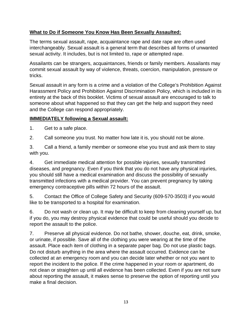## **What to Do if Someone You Know Has Been Sexually Assaulted:**

The terms sexual assault, rape, acquaintance rape and date rape are often used interchangeably. Sexual assault is a general term that describes all forms of unwanted sexual activity. It includes, but is not limited to, rape or attempted rape.

Assailants can be strangers, acquaintances, friends or family members. Assailants may commit sexual assault by way of violence, threats, coercion, manipulation, pressure or tricks.

Sexual assault in any form is a crime and a violation of the College's Prohibition Against Harassment Policy and Prohibition Against Discrimination Policy, which is included in its entirety at the back of this booklet. Victims of sexual assault are encouraged to talk to someone about what happened so that they can get the help and support they need and the College can respond appropriately.

#### **IMMEDIATELY following a Sexual assault:**

1. Get to a safe place.

2. Call someone you trust. No matter how late it is, you should not be alone.

3. Call a friend, a family member or someone else you trust and ask them to stay with you.

4. Get immediate medical attention for possible injuries, sexually transmitted diseases, and pregnancy. Even if you think that you do not have any physical injuries, you should still have a medical examination and discuss the possibility of sexually transmitted infections with a medical provider. You can prevent pregnancy by taking emergency contraceptive pills within 72 hours of the assault.

5. Contact the Office of College Safety and Security (609-570-3503) if you would like to be transported to a hospital for examination.

6. Do not wash or clean up. It may be difficult to keep from cleaning yourself up, but if you do, you may destroy physical evidence that could be useful should you decide to report the assault to the police.

7. Preserve all physical evidence. Do not bathe, shower, douche, eat, drink, smoke, or urinate, if possible. Save all of the clothing you were wearing at the time of the assault. Place each item of clothing in a separate paper bag. Do not use plastic bags. Do not disturb anything in the area where the assault occurred. Evidence can be collected at an emergency room and you can decide later whether or not you want to report the incident to the police. If the crime happened in your room or apartment, do not clean or straighten up until all evidence has been collected. Even if you are not sure about reporting the assault, it makes sense to preserve the option of reporting until you make a final decision.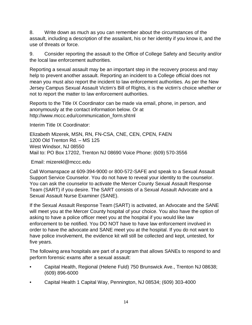8. Write down as much as you can remember about the circumstances of the assault, including a description of the assailant, his or her identity if you know it, and the use of threats or force.

9. Consider reporting the assault to the Office of College Safety and Security and/or the local law enforcement authorities.

Reporting a sexual assault may be an important step in the recovery process and may help to prevent another assault. Reporting an incident to a College official does not mean you must also report the incident to law enforcement authorities. As per the New Jersey Campus Sexual Assault Victim's Bill of Rights, it is the victim's choice whether or not to report the matter to law enforcement authorities.

Reports to the Title IX Coordinator can be made via email, phone, in person, and anonymously at the contact information below. Or at http://www.mccc.edu/communication\_form.shtml

Interim Title IX Coordinator:

Elizabeth Mizerek, MSN, RN, FN-CSA, CNE, CEN, CPEN, FAEN 1200 Old Trenton Rd. – MS 125 West Windsor, NJ 08550 Mail to: PO Box 17202, Trenton NJ 08690 Voice Phone: (609) 570-3556

Email: mizerekl@mccc.edu

Call Womanspace at 609-394-9000 or 800-572-SAFE and speak to a Sexual Assault Support Service Counselor. You do not have to reveal your identity to the counselor. You can ask the counselor to activate the Mercer County Sexual Assault Response Team (SART) if you desire. The SART consists of a Sexual Assault Advocate and a Sexual Assault Nurse Examiner (SANE).

If the Sexual Assault Response Team (SART) is activated, an Advocate and the SANE will meet you at the Mercer County hospital of your choice. You also have the option of asking to have a police officer meet you at the hospital if you would like law enforcement to be notified. You DO NOT have to have law enforcement involved in order to have the advocate and SANE meet you at the hospital. If you do not want to have police involvement, the evidence kit will still be collected and kept, untested, for five years.

The following area hospitals are part of a program that allows SANEs to respond to and perform forensic exams after a sexual assault:

- Capital Health, Regional (Helene Fuld) 750 Brunswick Ave., Trenton NJ 08638; (609) 896-6000
- Capital Health 1 Capital Way, Pennington, NJ 08534; (609) 303-4000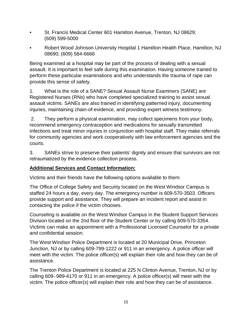- St. Francis Medical Center 601 Hamilton Avenue, Trenton, NJ 08629; (609) 599-5000
- Robert Wood Johnson University Hospital 1 Hamilton Health Place, Hamilton, NJ 08690; (609) 584-6666

Being examined at a hospital may be part of the process of dealing with a sexual assault. It is important to feel safe during this examination. Having someone trained to perform these particular examinations and who understands the trauma of rape can provide this sense of safety.

1. What is the role of a SANE? Sexual Assault Nurse Examiners (SANE) are Registered Nurses (RNs) who have completed specialized training to assist sexual assault victims. SANEs are also trained in identifying patterned injury, documenting injuries, maintaining chain-of-evidence, and providing expert witness testimony.

2. They perform a physical examination, may collect specimens from your body, recommend emergency contraception and medications for sexually transmitted infections and treat minor injuries in conjunction with hospital staff. They make referrals for community agencies and work cooperatively with law enforcement agencies and the courts.

3. SANEs strive to preserve their patients' dignity and ensure that survivors are not retraumatized by the evidence collection process.

## **Additional Services and Contact Information:**

Victims and their friends have the following options available to them:

The Office of College Safety and Security located on the West Windsor Campus is staffed 24 hours a day, every day. The emergency number is 609-570-3503. Officers provide support and assistance. They will prepare an incident report and assist in contacting the police if the victim chooses.

Counseling is available on the West Windsor Campus in the Student Support Services Division located on the 2nd floor of the Student Center or by calling 609-570-3354. Victims can make an appointment with a Professional Licensed Counselor for a private and confidential session.

The West Windsor Police Department is located at 20 Municipal Drive, Princeton Junction, NJ or by calling 609-799-1222 or 911 in an emergency. A police officer will meet with the victim. The police officer(s) will explain their role and how they can be of assistance.

The Trenton Police Department is located at 225 N Clinton Avenue, Trenton, NJ or by calling 609- 989-4170 or 911 in an emergency. A police officer(s) will meet with the victim. The police officer(s) will explain their role and how they can be of assistance.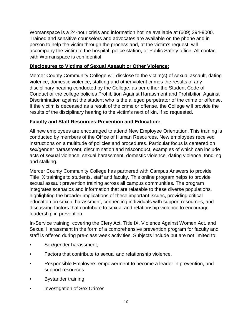Womanspace is a 24-hour crisis and information hotline available at (609) 394-9000. Trained and sensitive counselors and advocates are available on the phone and in person to help the victim through the process and, at the victim's request, will accompany the victim to the hospital, police station, or Public Safety office. All contact with Womanspace is confidential.

#### **Disclosures to Victims of Sexual Assault or Other Violence:**

Mercer County Community College will disclose to the victim(s) of sexual assault, dating violence, domestic violence, stalking and other violent crimes the results of any disciplinary hearing conducted by the College, as per either the Student Code of Conduct or the college policies Prohibition Against Harassment and Prohibition Against Discrimination against the student who is the alleged perpetrator of the crime or offense. If the victim is deceased as a result of the crime or offense, the College will provide the results of the disciplinary hearing to the victim's next of kin, if so requested.

## **Faculty and Staff Resources-Prevention and Education:**

All new employees are encouraged to attend New Employee Orientation. This training is conducted by members of the Office of Human Resources. New employees received instructions on a multitude of policies and procedures. Particular focus is centered on sex/gender harassment, discrimination and misconduct, examples of which can include acts of sexual violence, sexual harassment, domestic violence, dating violence, fondling and stalking.

Mercer County Community College has partnered with Campus Answers to provide Title IX trainings to students, staff and faculty. This online program helps to provide sexual assault prevention training across all campus communities. The program integrates scenarios and information that are relatable to these diverse populations, highlighting the broader implications of these important issues, providing critical education on sexual harassment, connecting individuals with support resources, and discussing factors that contribute to sexual and relationship violence to encourage leadership in prevention.

In-Service training, covering the Clery Act, Title IX, Violence Against Women Act, and Sexual Harassment in the form of a comprehensive prevention program for faculty and staff is offered during pre-class week activities. Subjects include but are not limited to:

- Sex/gender harassment,
- Factors that contribute to sexual and relationship violence,
- Responsible Employee--empowerment to become a leader in prevention, and support resources
- Bystander training
- Investigation of Sex Crimes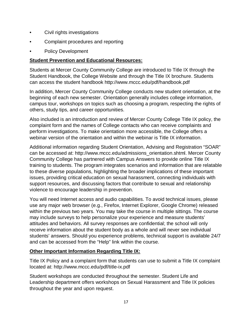- Civil rights investigations
- Complaint procedures and reporting
- Policy Development

#### **Student Prevention and Educational Resources:**

Students at Mercer County Community College are introduced to Title IX through the Student Handbook, the College Website and through the Title IX brochure. Students can access the student handbook http://www.mccc.edu/pdf/handbook.pdf

In addition, Mercer County Community College conducts new student orientation, at the beginning of each new semester. Orientation generally includes college information, campus tour, workshops on topics such as choosing a program, respecting the rights of others, study tips, and career opportunities.

Also included is an introduction and review of Mercer County College Title IX policy, the complaint form and the names of College contacts who can receive complaints and perform investigations. To make orientation more accessible, the College offers a webinar version of the orientation and within the webinar is Title IX information.

Additional information regarding Student Orientation, Advising and Registration "SOAR" can be accessed at: http://www.mccc.edu/admissions\_orientation.shtml. Mercer County Community College has partnered with Campus Answers to provide online Title IX training to students. The program integrates scenarios and information that are relatable to these diverse populations, highlighting the broader implications of these important issues, providing critical education on sexual harassment, connecting individuals with support resources, and discussing factors that contribute to sexual and relationship violence to encourage leadership in prevention.

You will need Internet access and audio capabilities. To avoid technical issues, please use any major web browser (e.g., Firefox, Internet Explorer, Google Chrome) released within the previous two years. You may take the course in multiple sittings. The course may include surveys to help personalize your experience and measure students' attitudes and behaviors. All survey responses are confidential; the school will only receive information about the student body as a whole and will never see individual students' answers. Should you experience problems, technical support is available 24/7 and can be accessed from the "Help" link within the course.

#### **Other Important Information Regarding Title IX:**

Title IX Policy and a complaint form that students can use to submit a Title IX complaint located at: http://www.mccc.edu/pdf/title-ix.pdf

Student workshops are conducted throughout the semester. Student Life and Leadership department offers workshops on Sexual Harassment and Title IX policies throughout the year and upon request.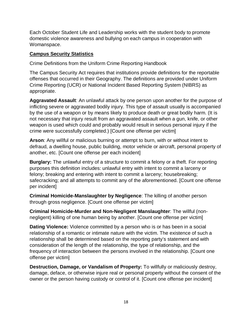Each October Student Life and Leadership works with the student body to promote domestic violence awareness and bullying on each campus in cooperation with Womanspace.

#### **Campus Security Statistics**

Crime Definitions from the Uniform Crime Reporting Handbook

The Campus Security Act requires that institutions provide definitions for the reportable offenses that occurred in their Geography. The definitions are provided under Uniform Crime Reporting (UCR) or National Incident Based Reporting System (NIBRS) as appropriate.

**Aggravated Assault**: An unlawful attack by one person upon another for the purpose of inflicting severe or aggravated bodily injury. This type of assault usually is accompanied by the use of a weapon or by means likely to produce death or great bodily harm. (It is not necessary that injury result from an aggravated assault when a gun, knife, or other weapon is used which could and probably would result in serious personal injury if the crime were successfully completed.) [Count one offense per victim]

**Arson**: Any willful or malicious burning or attempt to burn, with or without intent to defraud, a dwelling house, public building, motor vehicle or aircraft, personal property of another, etc. [Count one offense per each incident]

**Burglary:** The unlawful entry of a structure to commit a felony or a theft. For reporting purposes this definition includes: unlawful entry with intent to commit a larceny or felony; breaking and entering with intent to commit a larceny; housebreaking; safecracking; and all attempts to commit any of the aforementioned. [Count one offense per incident]

**Criminal Homicide-Manslaughter by Negligence**: The killing of another person through gross negligence. [Count one offense per victim]

**Criminal Homicide-Murder and Non-Negligent Manslaughter**: The willful (nonnegligent) killing of one human being by another. [Count one offense per victim]

**Dating Violence:** Violence committed by a person who is or has been in a social relationship of a romantic or intimate nature with the victim. The existence of such a relationship shall be determined based on the reporting party's statement and with consideration of the length of the relationship, the type of relationship, and the frequency of interaction between the persons involved in the relationship. [Count one offense per victim]

**Destruction, Damage, or Vandalism of Property:** To willfully or maliciously destroy, damage, deface, or otherwise injure real or personal property without the consent of the owner or the person having custody or control of it. [Count one offense per incident]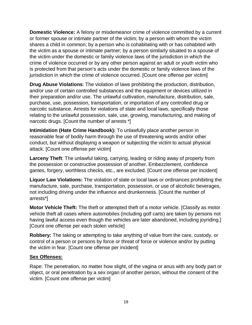**Domestic Violence:** A felony or misdemeanor crime of violence committed by a current or former spouse or intimate partner of the victim; by a person with whom the victim shares a child in common; by a person who is cohabitating with or has cohabited with the victim as a spouse or intimate partner; by a person similarly situated to a spouse of the victim under the domestic or family violence laws of the jurisdiction in which the crime of violence occurred or by any other person against an adult or youth victim who is protected from that person's acts under the domestic or family violence laws of the jurisdiction in which the crime of violence occurred. [Count one offense per victim]

**Drug Abuse Violations**: The violation of laws prohibiting the production, distribution, and/or use of certain controlled substances and the equipment or devices utilized in their preparation and/or use. The unlawful cultivation, manufacture, distribution, sale, purchase, use, possession, transportation, or importation of any controlled drug or narcotic substance. Arrests for violations of state and local laws, specifically those relating to the unlawful possession, sale, use, growing, manufacturing, and making of narcotic drugs. [Count the number of arrests \*]

**Intimidation (Hate Crime Handbook):** To unlawfully place another person in reasonable fear of bodily harm through the use of threatening words and/or other conduct, but without displaying a weapon or subjecting the victim to actual physical attack. [Count one offense per victim]

**Larceny Theft**: The unlawful taking, carrying, leading or riding away of property from the possession or constructive possession of another. Embezzlement, confidence games, forgery, worthless checks, etc., are excluded. [Count one offense per incident]

**Liquor Law Violations:** The violation of state or local laws or ordinances prohibiting the manufacture, sale, purchase, transportation, possession, or use of alcoholic beverages, not including driving under the influence and drunkenness. [Count the number of arrests\*]

**Motor Vehicle Theft:** The theft or attempted theft of a motor vehicle. [Classify as motor vehicle theft all cases where automobiles (including golf carts) are taken by persons not having lawful access even though the vehicles are later abandoned, including joyriding.] [Count one offense per each stolen vehicle]

**Robbery:** The taking or attempting to take anything of value from the care, custody, or control of a person or persons by force or threat of force or violence and/or by putting the victim in fear. [Count one offense per incident]

#### **Sex Offenses:**

Rape: The penetration, no matter how slight, of the vagina or anus with any body part or object, or oral penetration by a sex organ of another person, without the consent of the victim. [Count one offense per victim]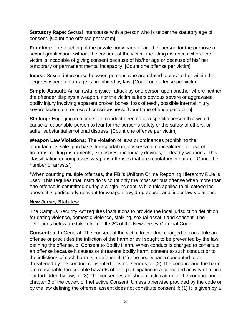**Statutory Rape:** Sexual intercourse with a person who is under the statutory age of consent. [Count one offense per victim]

**Fondling:** The touching of the private body parts of another person for the purpose of sexual gratification, without the consent of the victim, including instances where the victim is incapable of giving consent because of his/her age or because of his/ her temporary or permanent mental incapacity. [Count one offense per victim]

**Incest**: Sexual intercourse between persons who are related to each other within the degrees wherein marriage is prohibited by law. [Count one offense per victim]

**Simple Assault**: An unlawful physical attack by one person upon another where neither the offender displays a weapon, nor the victim suffers obvious severe or aggravated bodily injury involving apparent broken bones, loss of teeth, possible internal injury, severe laceration, or loss of consciousness. [Count one offense per victim]

**Stalking:** Engaging in a course of conduct directed at a specific person that would cause a reasonable person to fear for the person's safety or the safety of others, or suffer substantial emotional distress. [Count one offense per victim]

**Weapon Law Violations:** The violation of laws or ordinances prohibiting the manufacture, sale, purchase, transportation, possession, concealment, or use of firearms, cutting instruments, explosives, incendiary devices, or deadly weapons. This classification encompasses weapons offenses that are regulatory in nature. [Count the number of arrests\*]

\*When counting multiple offenses, the FBI's Uniform Crime Reporting Hierarchy Rule is used. This requires that institutions count only the most serious offense when more than one offense is committed during a single incident. While this applies to all categories above, it is particularly relevant for weapon law, drug abuse, and liquor law violations.

#### **New Jersey Statutes:**

The Campus Security Act requires institutions to provide the local jurisdiction definition for dating violence, domestic violence, stalking, sexual assault and consent. The definitions below are taken from Title 2C of the New Jersey Criminal Code.

**Consent:** a. In General. The consent of the victim to conduct charged to constitute an offense or precludes the infliction of the harm or evil sought to be prevented by the law defining the offense. b. Consent to Bodily Harm. When conduct is charged to constitute an offense because it causes or threatens bodily harm, consent to such conduct or to the inflictions of such harm Is a defense if: (1) The bodily harm consented to or threatened by the conduct consented to is not serious; or (2) The conduct and the harm are reasonable foreseeable hazards of joint participation in a concerted activity of a kind not forbidden by law; or (3) The consent establishes a justification for the conduct under chapter 3 of the code\*. c. Ineffective Consent. Unless otherwise provided by the code or by the law defining the offense, assent does not constitute consent if: (1) It Is given by a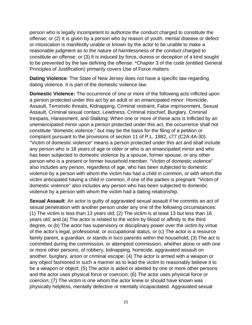person who is legally incompetent to authorize the conduct charged to constitute the offense; or (2) It is given by a person who by reason of youth, mental disease or defect or intoxication is manifestly unable or known by the actor to be unable to make a reasonable judgment as to the nature of harmlessness of the conduct charged to constitute an offense; or (3) It is induced by force, duress or deception of a kind sought to be prevented by the law defining the offense. \*Chapter 3 of the code (entitled General Principles of Justification) primarily covers Use of Force matters.

**Dating Violence**: The State of New Jersey does not have a specific law regarding dating violence. It is part of the domestic violence law.

**Domestic Violence:** The occurrence of one or more of the following acts inflicted upon a person protected under this act by an adult or an emancipated minor: Homicide, Assault, Terroristic threats, Kidnapping, Criminal restraint, False imprisonment, Sexual Assault, Criminal sexual contact, Lewdness, Criminal mischief, Burglary, Criminal trespass, Harassment, and Stalking. When one or more of these acts is Inflicted by an unemancipated minor upon a person protected under this act, the occurrence shall not constitute "domestic violence," but may be the basis for the filing of a petition or complaint pursuant to the provisions of section 11 of P.L. 1982, c77 (C2A:4A-30). "Victim of domestic violence" means a person protected under this act and shall include any person who is 18 years of age or older or who is an emancipated minor and who has been subjected to domestic violence by a spouse, former spouse, or any other person who is a present or former household member. "Victim of domestic violence" also includes any person, regardless of age, who has been subjected to domestic violence by a person with whom the victim has had a child in common, or with whom the victim anticipated having a child in common, if one of the parties is pregnant. "Victim of domestic violence" also includes any person who has been subjected to domestic violence by a person with whom the victim had a dating relationship.

**Sexual Assault**: An actor is guilty of aggravated sexual assault if he commits an act of sexual penetration with another person under any one of the following circumstances: (1) The victim is less than 13 years old; (2) The victim is at least 13 but less than 16 years old; and (a) The actor is related to the victim by blood or affinity to the third degree, or (b) The actor has supervisory or disciplinary power over the victim by virtue of the actor's legal, professional, or occupational status, or (c) The actor is a resource family parent, a guardian, or stands in loco parentis within the household; (3) The act is committed during the commission, or attempted commission, whether alone or with one or more other persons, of robbery, kidnapping, homicide, aggravated assault on another, burglary, arson or criminal escape; (4) The actor is armed with a weapon or any object fashioned in such a manner as to lead the victim to reasonably believe it to be a weapon or object; (5) The actor is aided or abetted by one or more other persons and the actor uses physical force or coercion; (6) The actor uses physical force or coercion; (7) The victim is one whom the actor knew or should have known was physically helpless, mentally defective or mentally incapacitated. Aggravated sexual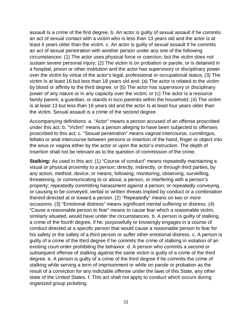assault Is a crime of the first degree. b. An actor is guilty of sexual assault if he commits an act of sexual contact with a victim who is less than 13 years old and the actor is at least 4 years older than the victim. c. An actor is guilty of sexual assault if he commits an act of sexual penetration with another person under any one of the following circumstances: (1) The actor uses physical force or coercion, but the victim does not sustain severe personal injury; (2) The victim is on probation or parole, or is detained in a hospital, prison or other institution and the actor has supervisory or disciplinary power over the victim by virtue of the actor's legal, professional or occupational status; (3) The victim Is at least 16 but less than 18 years old and: (a) The actor is related to the victim by blood or affinity to the third degree; or (b) The actor has supervisory or disciplinary power of any nature or in any capacity over the victim; or (c) The actor is a resource family parent, a guardian, or stands in loco parentis within the household; (4) The victim is at least 13 but less than 16 years old and the actor Is at least four years older than the victim. Sexual assault is a crime of the second degree.

Accompanying definitions: a. "Actor" means a person accused of an offense proscribed under this act; b. "Victim" means a person alleging to have been subjected to offenses proscribed to this act; c. "Sexual penetration" means vaginal intercourse, cunnilingus, fellatio or anal intercourse between persons or insertion of the hand, finger or object into the anus or vagina either by the actor or upon the actor's instruction. The depth of insertion shall not be relevant as to the question of commission of the crime.

**Stalking:** As used in this act: (1) "Course of conduct" means repeatedly maintaining a visual or physical proximity to a person; directly, indirectly, or through third parties, by any action, method, device, or means, following, monitoring, observing, surveilling, threatening, or communicating to or about, a person, or interfering with a person's property; repeatedly committing harassment against a person; or repeatedly conveying, or causing to be conveyed, verbal or written threats implied by conduct or a combination thereof directed at or toward a person. (2) "Repeatedly" means on two or more occasions. (3) "Emotional distress" means significant mental suffering or distress. (4) "Cause a reasonable person to fear" means to cause fear which a reasonable victim, similarly situated, would have under the circumstances. b. A person is guilty of stalking, a crime of the fourth degree, if he: purposefully or knowingly engages in a course of conduct directed at a specific person that would cause a reasonable person to fear for his safety or the safety of a third person or suffer other emotional distress. c. A person is guilty of a crime of the third degree if he commits the crime of stalking in violation of an existing court order prohibiting the behavior. d. A person who commits a second or subsequent offense of stalking against the same victim is guilty of a crime of the third degree. e. A person is guilty of a crime of the third degree if he commits the crime of stalking while serving a term of imprisonment or while on parole or probation as the result of a conviction for any indictable offense under the laws of this State, any other state of the United States. f. This act shall not apply to conduct which occurs during organized group picketing.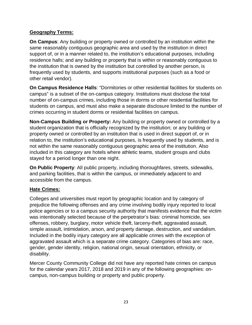## **Geography Terms:**

**On Campus**: Any building or property owned or controlled by an institution within the same reasonably contiguous geographic area and used by the institution in direct support of, or in a manner related to, the institution's educational purposes, including residence halls; and any building or property that is within or reasonably contiguous to the institution that is owned by the institution but controlled by another person, is frequently used by students, and supports institutional purposes (such as a food or other retail vendor).

**On Campus Residence Halls**: "Dormitories or other residential facilities for students on campus" is a subset of the on-campus category. Institutions must disclose the total number of on-campus crimes, including those in dorms or other residential facilities for students on campus, and must also make a separate disclosure limited to the number of crimes occurring in student dorms or residential facilities on campus.

**Non-Campus Building or Property:** Any building or property owned or controlled by a student organization that is officially recognized by the institution; or any building or property owned or controlled by an institution that is used in direct support of, or in relation to, the institution's educational purposes, is frequently used by students, and is not within the same reasonably contiguous geographic area of the institution. Also included in this category are hotels where athletic teams, student groups and clubs stayed for a period longer than one night.

**On Public Property**: All public property, including thoroughfares, streets, sidewalks, and parking facilities, that is within the campus, or immediately adjacent to and accessible from the campus.

## **Hate Crimes:**

Colleges and universities must report by geographic location and by category of prejudice the following offenses and any crime involving bodily injury reported to local police agencies or to a campus security authority that manifests evidence that the victim was intentionally selected because of the perpetrator's bias: criminal homicide, sex offenses, robbery, burglary, motor vehicle theft, larceny-theft, aggravated assault, simple assault, intimidation, arson, and property damage, destruction, and vandalism. Included in the bodily injury category are all applicable crimes with the exception of aggravated assault which is a separate crime category. Categories of bias are: race, gender, gender identity, religion, national origin, sexual orientation, ethnicity, or disability.

Mercer County Community College did not have any reported hate crimes on campus for the calendar years 2017, 2018 and 2019 in any of the following geographies: oncampus, non-campus building or property and public property.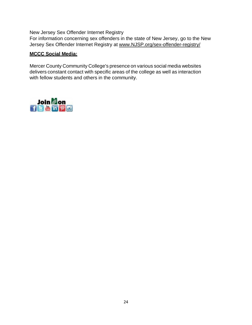New Jersey Sex Offender Internet Registry

For information concerning sex offenders in the state of New Jersey, go to the New Jersey Sex Offender Internet Registry at [www.NJSP.org/sex-offender-registry/](http://www.njsp.org/sex-offender-registry/)

#### **MCCC Social Media:**

Mercer County Community College's presence on various social media websites delivers constant contact with specific areas of the college as well as interaction with fellow students and others in the community.

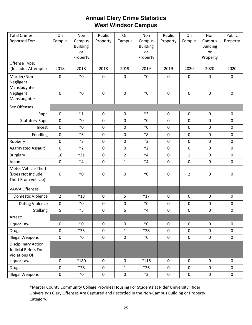## **Annual Clery Crime Statistics West Windsor Campus**

| <b>Total Crimes</b>        | On                  | Non             | Public           | On             | Non             | Public       | On               | Non                 | Public      |
|----------------------------|---------------------|-----------------|------------------|----------------|-----------------|--------------|------------------|---------------------|-------------|
| Reported For:              | Campus              | Campus          | Property         | Campus         | Campus          | Property     | Campus           | Campus              | Property    |
|                            |                     | <b>Building</b> |                  |                | <b>Building</b> |              |                  | <b>Building</b>     |             |
|                            |                     | or<br>Property  |                  |                | or<br>Property  |              |                  | or<br>Property      |             |
| Offense Type:              |                     |                 |                  |                |                 |              |                  |                     |             |
| (Includes Attempts)        | 2018                | 2018            | 2018             | 2019           | 2019            | 2019         | 2020             | 2020                | 2020        |
| Murder/Non                 | $\mathbf 0$         | $*_{0}$         | 0                | $\mathbf 0$    | $^\ast 0$       | $\mathbf 0$  | $\mathbf 0$      | $\mathbf 0$         | $\mathbf 0$ |
| Negligent                  |                     |                 |                  |                |                 |              |                  |                     |             |
| Manslaughter               | $\mathbf 0$         | $*_{0}$         | $\boldsymbol{0}$ | $\mathbf 0$    | $*_{0}$         | $\mathbf 0$  | $\mathbf 0$      | $\mathbf 0$         | $\mathbf 0$ |
| Negligent<br>Manslaughter  |                     |                 |                  |                |                 |              |                  |                     |             |
|                            |                     |                 |                  |                |                 |              |                  |                     |             |
| Sex Offenses               |                     |                 |                  |                |                 |              |                  |                     |             |
| Rape                       | $\mathbf 0$         | $*_{1}$         | $\pmb{0}$        | 0              | *З              | $\pmb{0}$    | $\mathbf 0$      | 0                   | $\pmb{0}$   |
| <b>Statutory Rape</b>      | $\mathbf 0$         | $*_{0}$         | $\pmb{0}$        | $\mathbf 0$    | $^*0$           | $\mathbf 0$  | $\mathbf 0$      | $\mathbf 0$         | $\pmb{0}$   |
| Incest                     | $\mathbf 0$         | $*_{0}$         | 0                | $\mathbf 0$    | $*_{0}$         | $\mathbf 0$  | $\mathbf 0$      | $\mathbf 0$         | $\mathbf 0$ |
| Fondling                   | $\pmb{0}$           | $*6$            | $\pmb{0}$        | $\mathbf 0$    | $*8$            | $\mathbf 0$  | $\mathbf 0$      | $\mathbf 0$         | $\mathbf 0$ |
| Robbery                    | $\mathbf 0$         | $*2$            | $\pmb{0}$        | $\mathbf 0$    | $*2$            | $\mathbf 0$  | $\mathbf 0$      | $\mathbf 0$         | $\mathbf 0$ |
| <b>Aggravated Assault</b>  | $\pmb{0}$           | $*2$            | $\pmb{0}$        | $\pmb{0}$      | $*_{2}$         | $\mathbf 0$  | $\mathbf 0$      | $\mathbf 0$         | $\pmb{0}$   |
| <b>Burglary</b>            | 16                  | $*31$           | $\pmb{0}$        | $\overline{2}$ | $*_{4}$         | $\mathbf 0$  | $\mathbf{1}$     | $\mathbf 0$         | $\pmb{0}$   |
| Arson                      | $\mathbf 0$         | $*_{4}$         | 0                | $\mathbf{1}$   | $*4$            | $\mathbf 0$  | 0                | $\mathbf 0$         | $\mathbf 0$ |
| Motor Vehicle Theft        |                     |                 |                  |                |                 |              |                  |                     |             |
| (Does Not Include          | 0                   | ${}^*0$         | $\pmb{0}$        | $\pmb{0}$      | $^*0$           | 0            | $\overline{2}$   | 0                   | 0           |
| Theft From vehicle)        |                     |                 |                  |                |                 |              |                  |                     |             |
| <b>VAWA Offenses</b>       |                     |                 |                  |                |                 |              |                  |                     |             |
| <b>Domestic Violence</b>   | $\overline{2}$      | $*18$           | $\mathbf 0$      | 5              | $*17$           | $\mathbf 0$  | $\mathbf 0$      | 0                   | $\mathbf 0$ |
| Dating Violence            | $\pmb{0}$           | $*_{0}$         | $\pmb{0}$        | $\mathbf 0$    | $^\ast 0$       | $\mathbf 0$  | $\mathbf 0$      | $\mathsf{O}\xspace$ | $\mathbf 0$ |
| <b>Stalking</b>            | 5                   | $*5$            | 0                | 6              | $*_{4}$         | $\pmb{0}$    | $\boldsymbol{0}$ | $\mathsf{O}\xspace$ | $\pmb{0}$   |
| Arrest:                    |                     |                 |                  |                |                 |              |                  |                     |             |
| Liquor Law                 | $\mathbf 0$         | $*_{0}$         | $\mathbf 0$      | 0              | $*_{0}$         | $\mathsf{O}$ | $\mathbf 0$      | $\mathbf 0$         | $\mathbf 0$ |
| <b>Drugs</b>               | $\mathsf{O}\xspace$ | $*35$           | $\mathbf 0$      | $\mathbf{1}$   | $*28$           | $\mathsf{O}$ | $\mathbf 0$      | $\mathbf 0$         | $\mathbf 0$ |
| <b>Illegal Weapons</b>     | $\pmb{0}$           | $*_{0}$         | $\mathbf 0$      | $\mathsf{O}$   | $*_{0}$         | $\mathsf{O}$ | $\mathbf 0$      | $\mathbf 0$         | $\mathbf 0$ |
| <b>Disciplinary Action</b> |                     |                 |                  |                |                 |              |                  |                     |             |
| Judicial Refers For        |                     |                 |                  |                |                 |              |                  |                     |             |
| Violations Of:             |                     |                 |                  |                |                 |              |                  |                     |             |
| Liquor Law                 | $\mathbf 0$         | $*180$          | $\pmb{0}$        | 0              | $*116$          | $\mathbf 0$  | 0                | $\mathbf 0$         | $\mathbf 0$ |
| <b>Drugs</b>               | $\pmb{0}$           | $*28$           | $\mathbf 0$      | $\mathbf{1}$   | $*26$           | $\mathsf{O}$ | $\mathbf 0$      | $\mathbf 0$         | $\mathbf 0$ |
| <b>Illegal Weapons</b>     | $\pmb{0}$           | $*_{0}$         | $\pmb{0}$        | $\pmb{0}$      | $*2$            | $\mathbf 0$  | $\pmb{0}$        | $\mathbf 0$         | $\mathbf 0$ |

\*Mercer County Community College Provides Housing For Students at Rider University. Rider University's Clery Offenses Are Captured and Recorded in the Non-Campus Building or Property Category.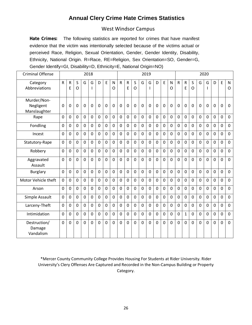## **Annual Clery Crime Hate Crimes Statistics**

#### West Windsor Campus

**Hate Crimes:** The following statistics are reported for crimes that have manifest evidence that the victim was intentionally selected because of the victims actual or perceived Race, Religion, Sexual Orientation, Gender, Gender Identity, Disability, Ethnicity, National Origin. R=Race, RE=Religion, Sex Orientation=SO, Gender=G, Gender Identify=GI, Disability=D, Ethnicity=E, National Origin=NO)

| <b>Criminal Offense</b>                  |                |                |                   |                | 2018           |                |                |                |                |                   |                     |             | 2019           |                |                |                |          |                   |              |             | 2020        |             |                |                   |
|------------------------------------------|----------------|----------------|-------------------|----------------|----------------|----------------|----------------|----------------|----------------|-------------------|---------------------|-------------|----------------|----------------|----------------|----------------|----------|-------------------|--------------|-------------|-------------|-------------|----------------|-------------------|
| Category<br>Abbreviations                | ${\sf R}$      | ${\sf R}$<br>E | S<br>$\mathsf{O}$ | G              | G              | D              | E              | N<br>O         | $\mathsf{R}$   | $\mathsf{R}$<br>E | S<br>$\overline{O}$ | G           | G              | D              | E              | N<br>$\circ$   | R        | $\mathsf{R}$<br>E | S<br>O       | G           | G           | D           | E              | $\mathsf{N}$<br>O |
| Murder/Non-<br>Negligent<br>Manslaughter | 0              | 0              | 0                 | 0              | 0              | 0              | $\mathbf 0$    | 0              | $\mathbf 0$    | 0                 | $\mathbf 0$         | 0           | 0              | 0              | 0              | 0              | 0        | $\mathbf 0$       | $\mathbf{0}$ | 0           | $\mathbf 0$ | $\mathbf 0$ | $\mathbf 0$    | 0                 |
| Rape                                     | 0              | $\mathbf 0$    | 0                 | 0              | 0              | 0              | $\mathbf 0$    | $\mathbf 0$    | $\mathbf 0$    | 0                 | 0                   | $\mathbf 0$ | $\mathbf 0$    | $\mathbf 0$    | 0              | 0              | 0        | $\mathbf 0$       | 0            | 0           | $\mathbf 0$ | 0           | $\mathbf 0$    | 0                 |
| Fondling                                 | 0              | 0              | 0                 | 0              | $\overline{0}$ | $\Omega$       | $\mathbf 0$    | 0              | 0              | 0                 | 0                   | $\mathbf 0$ | $\mathbf 0$    | $\Omega$       | 0              | 0              | 0        | $\mathbf 0$       | 0            | $\Omega$    | 0           | $\mathbf 0$ | 0              | 0                 |
| Incest                                   | $\overline{0}$ | $\mathbf 0$    | 0                 | $\overline{0}$ | $\mathbf 0$    | 0              | $\mathbf 0$    | 0              | 0              | 0                 | 0                   | $\mathbf 0$ | $\mathbf 0$    | 0              | 0              | 0              | 0        | $\mathbf 0$       | 0            | 0           | 0           | $\mathbf 0$ | 0              | 0                 |
| Statutory-Rape                           | $\overline{0}$ | $\overline{0}$ | $\overline{0}$    | $\overline{0}$ | $\overline{0}$ | $\Omega$       | $\mathbf 0$    | 0              | $\overline{0}$ | 0                 | $\mathbf 0$         | $\mathbf 0$ | $\mathbf 0$    | 0              | $\overline{0}$ | $\overline{0}$ | 0        | $\mathbf 0$       | $\Omega$     | $\Omega$    | $\mathbf 0$ | $\Omega$    | $\mathbf 0$    | $\mathbf 0$       |
| Robbery                                  | $\overline{0}$ | $\overline{0}$ | $\overline{0}$    | $\overline{0}$ | $\overline{0}$ | $\overline{0}$ | $\mathbf 0$    | $\overline{0}$ | 0              | $\mathbf 0$       | $\mathbf 0$         | $\mathbf 0$ | $\mathbf 0$    | 0              | 0              | $\overline{0}$ | 0        | $\mathbf 0$       | $\mathbf 0$  | 0           | $\mathbf 0$ | 0           | $\mathbf 0$    | $\mathbf 0$       |
| Aggravated<br>Assault                    | $\overline{0}$ | $\overline{0}$ | 0                 | 0              | $\overline{0}$ | $\Omega$       | $\mathbf 0$    | $\Omega$       | $\overline{0}$ | $\overline{0}$    | 0                   | $\mathbf 0$ | $\overline{0}$ | 0              | $\overline{0}$ | 0              | 0        | $\mathbf 0$       | $\Omega$     | $\Omega$    | $\mathbf 0$ | $\mathbf 0$ | $\mathbf 0$    | $\mathbf 0$       |
| <b>Burglary</b>                          | $\Omega$       | $\Omega$       | $\overline{0}$    | $\Omega$       | $\overline{0}$ | $\Omega$       | $\Omega$       | $\Omega$       | 0              | $\Omega$          | $\Omega$            | $\Omega$    | $\mathbf{0}$   | $\Omega$       | $\overline{0}$ | $\Omega$       | $\Omega$ | $\Omega$          | $\Omega$     | $\Omega$    | $\Omega$    | $\Omega$    | $\Omega$       | $\overline{0}$    |
| Motor Vehicle theft                      | $\overline{0}$ | $\overline{0}$ | $\overline{0}$    | $\overline{0}$ | $\overline{0}$ | $\Omega$       | 0              | 0              | $\overline{0}$ | 0                 | $\mathbf 0$         | $\mathbf 0$ | $\mathbf 0$    | 0              | 0              | $\overline{0}$ | 0        | $\mathbf 0$       | $\Omega$     | 0           | $\mathbf 0$ | $\mathbf 0$ | $\mathbf 0$    | $\mathbf 0$       |
| Arson                                    | $\overline{0}$ | $\overline{0}$ | 0                 | $\overline{0}$ | $\overline{0}$ | $\overline{0}$ | $\mathbf 0$    | $\Omega$       | 0              | $\Omega$          | $\Omega$            | $\Omega$    | $\overline{0}$ | $\overline{0}$ | 0              | $\overline{0}$ | 0        | $\mathbf 0$       | $\Omega$     | $\Omega$    | $\Omega$    | $\Omega$    | $\overline{0}$ | $\overline{0}$    |
| Simple Assault                           | $\overline{0}$ | $\overline{0}$ | $\overline{0}$    | $\overline{0}$ | $\overline{0}$ | $\Omega$       | $\mathbf 0$    | $\mathbf 0$    | $\mathbf 0$    | 0                 | $\mathbf 0$         | $\mathbf 0$ | $\mathbf 0$    | 0              | $\overline{0}$ | $\overline{0}$ | 0        | $\mathbf 0$       | $\mathbf 0$  | $\mathbf 0$ | $\mathbf 0$ | $\mathbf 0$ | $\mathbf 0$    | $\mathbf 0$       |
| Larceny-Theft                            | $\overline{0}$ | $\overline{0}$ | 0                 | $\overline{0}$ | $\overline{0}$ | $\overline{0}$ | $\mathbf 0$    | 0              | 0              | 0                 | 0                   | $\mathbf 0$ | $\mathbf 0$    | 0              | 0              | $\overline{0}$ | 0        | $\mathbf 0$       | $\mathbf 0$  | 0           | $\mathbf 0$ | $\mathbf 0$ | 0              | 0                 |
| Intimidation                             | $\overline{0}$ | $\overline{0}$ | 0                 | $\overline{0}$ | $\overline{0}$ | $\Omega$       | $\overline{0}$ | 0              | $\overline{0}$ | $\overline{0}$    | $\overline{0}$      | $\mathbf 0$ | $\overline{0}$ | 0              | $\overline{0}$ | 0              | 0        | $\mathbf{1}$      | $\Omega$     | $\mathbf 0$ | $\mathbf 0$ | $\mathbf 0$ | $\overline{0}$ | $\overline{0}$    |
| Destruction/<br>Damage<br>Vandalism      | $\overline{0}$ | $\overline{0}$ | 0                 | 0              | $\mathbf 0$    | 0              | $\mathbf 0$    | $\mathbf 0$    | $\mathbf 0$    | 0                 | $\mathbf 0$         | $\mathbf 0$ | $\overline{0}$ | 0              | 0              | 0              | 0        | $\mathbf 0$       | $\mathbf 0$  | 0           | $\mathbf 0$ | $\mathbf 0$ | $\mathbf 0$    | $\mathbf 0$       |

\*Mercer County Community College Provides Housing For Students at Rider University. Rider University's Clery Offenses Are Captured and Recorded in the Non-Campus Building or Property Category.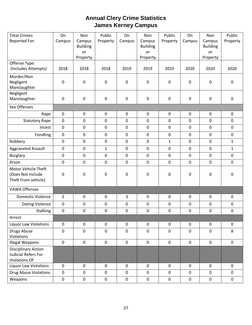## **Annual Clery Crime Statistics James Kerney Campus**

| <b>Total Crimes</b>          | On             | Non             | Public              | On                  | Non             | Public       | On                  | Non                 | Public       |
|------------------------------|----------------|-----------------|---------------------|---------------------|-----------------|--------------|---------------------|---------------------|--------------|
| Reported For:                | Campus         | Campus          | Property            | Campus              | Campus          | Property     | Campus              | Campus              | Property     |
|                              |                | <b>Building</b> |                     |                     | <b>Building</b> |              |                     | <b>Building</b>     |              |
|                              |                | or<br>Property  |                     |                     | or<br>Property  |              |                     | or<br>Property      |              |
| Offense Type:                |                |                 |                     |                     |                 |              |                     |                     |              |
| (Includes Attempts)          | 2018           | 2018            | 2018                | 2019                | 2019            | 2019         | 2020                | 2020                | 2020         |
| Murder/Non                   |                |                 |                     |                     |                 |              |                     |                     |              |
| Negligent                    | $\pmb{0}$      | 0               | $\pmb{0}$           | $\mathbf 0$         | 0               | 0            | 0                   | 0                   | $\pmb{0}$    |
| Manslaughter                 |                |                 |                     |                     |                 |              |                     |                     |              |
| Negligent<br>Manslaughter    | $\pmb{0}$      | $\pmb{0}$       | $\mathsf 0$         | $\boldsymbol{0}$    | $\pmb{0}$       | 0            | $\mathsf 0$         | 0                   | $\pmb{0}$    |
| Sex Offenses                 |                |                 |                     |                     |                 |              |                     |                     |              |
|                              |                |                 |                     |                     |                 |              |                     |                     |              |
| Rape                         | $\pmb{0}$      | $\pmb{0}$       | $\pmb{0}$           | $\pmb{0}$           | 0               | 0            | $\pmb{0}$           | 0                   | $\pmb{0}$    |
| <b>Statutory Rape</b>        | $\mathbf 0$    | $\pmb{0}$       | $\mathbf 0$         | $\mathbf 0$         | $\pmb{0}$       | $\mathbf 0$  | $\mathsf 0$         | 0                   | $\pmb{0}$    |
| Incest                       | $\mathbf 0$    | $\mathbf 0$     | $\mathbf 0$         | $\mathbf 0$         | $\mathbf 0$     | $\mathbf 0$  | $\mathbf 0$         | $\mathbf 0$         | $\mathbf 0$  |
| Fondling                     | $\mathbf 0$    | $\pmb{0}$       | $\mathbf 0$         | $\pmb{0}$           | $\mathbf 0$     | $\mathbf 0$  | $\pmb{0}$           | $\pmb{0}$           | $\mathbf 0$  |
| Robbery                      | $\mathbf 0$    | $\pmb{0}$       | $\mathsf 0$         | $\mathbf 0$         | $\pmb{0}$       | $\mathbf{1}$ | $\mathsf 0$         | $\pmb{0}$           | $\mathbf{1}$ |
| <b>Aggravated Assault</b>    | $\mathbf 0$    | $\pmb{0}$       | $\mathbf{1}$        | $\pmb{0}$           | $\pmb{0}$       | $\mathbf 0$  | $\mathsf 0$         | 0                   | $\mathbf{1}$ |
| <b>Burglary</b>              | $\mathbf 0$    | $\pmb{0}$       | $\mathbf 0$         | $\pmb{0}$           | $\pmb{0}$       | $\mathbf 0$  | $\mathsf 0$         | $\pmb{0}$           | $\pmb{0}$    |
| Arson                        | $\mathbf 0$    | $\pmb{0}$       | $\mathbf 0$         | $\pmb{0}$           | $\mathbf 0$     | $\mathbf 0$  | $\mathsf{O}\xspace$ | $\mathbf 0$         | $\mathbf 0$  |
| Motor Vehicle Theft          |                |                 |                     |                     |                 |              |                     |                     |              |
| (Does Not Include            | 0              | 0               | 0                   | $\pmb{0}$           | 0               | 0            | $\pmb{0}$           | 0                   | $\pmb{0}$    |
| Theft From vehicle)          |                |                 |                     |                     |                 |              |                     |                     |              |
| <b>VAWA Offenses</b>         |                |                 |                     |                     |                 |              |                     |                     |              |
| <b>Domestic Violence</b>     | $\overline{2}$ | $\pmb{0}$       | $\mathsf{O}\xspace$ | 3                   | $\mathbf 0$     | $\mathbf 0$  | $\mathbf 0$         | $\mathbf 0$         | $\mathbf 0$  |
| Dating Violence              | $\mathbf 0$    | $\pmb{0}$       | $\mathbf 0$         | $\pmb{0}$           | $\pmb{0}$       | $\pmb{0}$    | $\mathsf{O}\xspace$ | $\pmb{0}$           | $\mathbf 0$  |
| <b>Stalking</b>              | $\mathbf 0$    | $\pmb{0}$       | $\mathbf 0$         | $\pmb{0}$           | $\mathbf 0$     | $\pmb{0}$    | $\mathsf{O}\xspace$ | $\pmb{0}$           | $\pmb{0}$    |
| Arrest:                      |                |                 |                     |                     |                 |              |                     |                     |              |
| <b>Liquor Law Violations</b> | $\mathbf 0$    | $\pmb{0}$       | $\mathsf{O}\xspace$ | $\mathbf 0$         | $\mathbf 0$     | 0            | $\mathbf 0$         | 0                   | 0            |
| Drugs Abuse                  | $\mathbf 0$    | $\pmb{0}$       | $\mathbf 0$         | $\mathbf 0$         | $\mathbf 0$     | $\mathbf 0$  | $\mathbf 0$         | $\mathbf 0$         | 8            |
| Violations                   |                |                 |                     |                     |                 |              |                     |                     |              |
| <b>Illegal Weapons</b>       | $\mathbf 0$    | $\pmb{0}$       | $\mathbf 0$         | $\mathbf 0$         | $\pmb{0}$       | $\mathsf{O}$ | $\mathbf 0$         | $\mathsf{O}\xspace$ | $\mathsf 0$  |
| <b>Disciplinary Action</b>   |                |                 |                     |                     |                 |              |                     |                     |              |
| Judicial Refers For          |                |                 |                     |                     |                 |              |                     |                     |              |
| Violations Of:               |                |                 |                     |                     |                 |              |                     |                     | $\mathbf 0$  |
| <b>Liquor Law Violations</b> | $\mathbf 0$    | $\mathbf 0$     | $\pmb{0}$           | $\mathbf 0$         | $\mathbf 0$     | $\mathbf 0$  | $\mathbf 0$         | $\mathbf 0$         |              |
| Drug Abuse Violations        | $\mathbf 0$    | $\pmb{0}$       | $\pmb{0}$           | $\mathbf 0$         | $\pmb{0}$       | 0            | $\mathbf 0$         | 0                   | $\mathsf{O}$ |
| Weapons                      | $\pmb{0}$      | $\pmb{0}$       | $\pmb{0}$           | $\mathsf{O}\xspace$ | $\pmb{0}$       | $\pmb{0}$    | $\pmb{0}$           | 0                   | $\pmb{0}$    |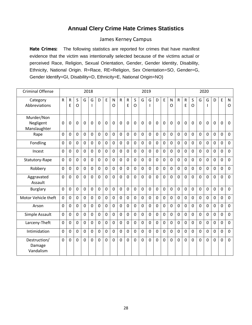## **Annual Clery Crime Hate Crimes Statistics**

#### James Kerney Campus

**Hate Crimes:** The following statistics are reported for crimes that have manifest evidence that the victim was intentionally selected because of the victims actual or perceived Race, Religion, Sexual Orientation, Gender, Gender Identity, Disability, Ethnicity, National Origin. R=Race, RE=Religion, Sex Orientation=SO, Gender=G, Gender Identify=GI, Disability=D, Ethnicity=E, National Origin=NO)

| <b>Criminal Offense</b>                 |                |                |                   |                | 2018                          |                |             |             |             |                |                |             | 2019        |              |             |             |              |                |                |                | 2020                          |                |                |                   |
|-----------------------------------------|----------------|----------------|-------------------|----------------|-------------------------------|----------------|-------------|-------------|-------------|----------------|----------------|-------------|-------------|--------------|-------------|-------------|--------------|----------------|----------------|----------------|-------------------------------|----------------|----------------|-------------------|
| Category<br>Abbreviations               | ${\sf R}$      | ${\sf R}$<br>E | S<br>$\mathsf{O}$ | G              | G<br>$\overline{\phantom{a}}$ | D              | E           | N<br>O      | R           | ${\sf R}$<br>E | S<br>O         | G           | G           | D            | E           | N<br>O      | $\mathsf{R}$ | ${\sf R}$<br>E | S<br>$\circ$   | G              | G<br>$\overline{\phantom{a}}$ | D              | E              | $\mathsf{N}$<br>O |
| Murder/Non<br>Negligent<br>Manslaughter | $\mathbf 0$    | $\mathbf 0$    | 0                 | 0              | $\mathbf 0$                   | 0              | $\mathbf 0$ | $\mathbf 0$ | $\mathbf 0$ | $\mathbf 0$    | 0              | $\mathbf 0$ | $\mathbf 0$ | $\mathbf 0$  | $\mathbf 0$ | $\mathbf 0$ | $\mathbf 0$  | $\mathbf 0$    | 0              | $\mathbf 0$    | $\mathbf 0$                   | 0              | 0              | 0                 |
| Rape                                    | 0              | 0              | 0                 | 0              | $\mathbf 0$                   | $\mathbf 0$    | 0           | $\mathbf 0$ | 0           | $\mathbf 0$    | $\mathbf 0$    | $\mathbf 0$ | $\mathbf 0$ | $\mathbf 0$  | $\mathbf 0$ | $\mathbf 0$ | 0            | $\mathbf 0$    | 0              | $\mathbf 0$    | 0                             | 0              | 0              | 0                 |
| Fondling                                | 0              | 0              | 0                 | 0              | $\mathbf 0$                   | $\mathbf 0$    | 0           | $\mathbf 0$ | 0           | $\mathbf 0$    | $\mathbf 0$    | 0           | $\mathbf 0$ | $\mathbf 0$  | 0           | $\mathbf 0$ | 0            | 0              | $\overline{0}$ | $\mathbf 0$    | 0                             | 0              | 0              | 0                 |
| Incest                                  | 0              | $\overline{0}$ | 0                 | 0              | $\mathbf 0$                   | $\overline{0}$ | 0           | $\mathbf 0$ | 0           | $\mathbf 0$    | $\mathbf 0$    | $\mathbf 0$ | $\mathbf 0$ | $\mathbf 0$  | $\mathbf 0$ | $\mathbf 0$ | $\mathbf 0$  | $\overline{0}$ | 0              | $\mathbf 0$    | 0                             | 0              | $\overline{0}$ | $\mathbf 0$       |
| Statutory-Rape                          | 0              | $\mathbf 0$    | 0                 | 0              | $\mathbf 0$                   | $\overline{0}$ | 0           | $\mathbf 0$ | 0           | $\mathbf 0$    | 0              | $\mathbf 0$ | $\mathbf 0$ | $\mathbf 0$  | $\mathbf 0$ | $\mathbf 0$ | 0            | 0              | 0              | $\mathbf 0$    | 0                             | 0              | 0              | 0                 |
| Robbery                                 | $\overline{0}$ | $\mathbf 0$    | 0                 | $\overline{0}$ | 0                             | $\overline{0}$ | 0           | $\mathbf 0$ | 0           | $\mathbf 0$    | $\mathbf 0$    | $\mathbf 0$ | $\mathbf 0$ | $\mathbf 0$  | $\mathbf 0$ | $\mathbf 0$ | $\mathbf 0$  | $\mathbf 0$    | $\overline{0}$ | $\mathbf 0$    | 0                             | 0              | 0              | $\mathbf 0$       |
| Aggravated<br>Assault                   | 0              | $\Omega$       | 0                 | 0              | $\overline{0}$                | 0              | 0           | $\mathbf 0$ | 0           | $\Omega$       | $\overline{0}$ | $\mathbf 0$ | $\mathbf 0$ | $\mathbf{0}$ | $\mathbf 0$ | $\mathbf 0$ | $\mathbf 0$  | 0              | $\overline{0}$ | $\Omega$       | $\overline{0}$                | 0              | $\overline{0}$ | $\overline{0}$    |
| <b>Burglary</b>                         | 0              | $\overline{0}$ | 0                 | 0              | $\overline{0}$                | $\overline{0}$ | $\Omega$    | $\mathbf 0$ | 0           | $\mathbf 0$    | $\Omega$       | $\Omega$    | $\mathbf 0$ | $\mathbf{0}$ | $\mathbf 0$ | $\mathbf 0$ | $\mathbf 0$  | $\mathbf 0$    | $\mathbf{0}$   | $\Omega$       | 0                             | $\overline{0}$ | $\overline{0}$ | $\mathbf 0$       |
| Motor Vehicle theft                     | 0              | $\overline{0}$ | 0                 | 0              | 0                             | $\overline{0}$ | 0           | $\mathbf 0$ | 0           | $\mathbf 0$    | $\overline{0}$ | $\mathbf 0$ | $\mathbf 0$ | $\mathbf 0$  | $\mathbf 0$ | $\Omega$    | 0            | $\overline{0}$ | 0              | $\Omega$       | $\overline{0}$                | $\overline{0}$ | 0              | $\overline{0}$    |
| Arson                                   | 0              | 0              | 0                 | 0              | 0                             | 0              | 0           | $\mathbf 0$ | 0           | $\mathbf 0$    | $\overline{0}$ | $\mathbf 0$ | $\mathbf 0$ | $\mathbf 0$  | 0           | $\mathbf 0$ | 0            | 0              | $\overline{0}$ | $\mathbf 0$    | 0                             | 0              | 0              | $\mathbf 0$       |
| Simple Assault                          | 0              | $\overline{0}$ | 0                 | 0              | 0                             | $\overline{0}$ | 0           | $\mathbf 0$ | 0           | $\mathbf 0$    | $\overline{0}$ | $\mathbf 0$ | $\mathbf 0$ | $\mathbf 0$  | $\mathbf 0$ | $\mathbf 0$ | $\mathbf 0$  | $\overline{0}$ | $\overline{0}$ | $\overline{0}$ | $\overline{0}$                | 0              | $\overline{0}$ | $\mathbf 0$       |
| Larceny-Theft                           | 0              | $\overline{0}$ | 0                 | 0              | 0                             | 0              | 0           | $\mathbf 0$ | 0           | $\mathbf 0$    | $\mathbf 0$    | $\mathbf 0$ | $\mathbf 0$ | $\mathbf 0$  | $\mathbf 0$ | $\mathbf 0$ | $\mathbf 0$  | 0              | $\overline{0}$ | $\overline{0}$ | $\overline{0}$                | $\overline{0}$ | $\overline{0}$ | $\mathbf 0$       |
| Intimidation                            | $\mathbf 0$    | $\overline{0}$ | 0                 | 0              | 0                             | $\overline{0}$ | 0           | $\mathbf 0$ | 0           | $\mathbf 0$    | $\mathbf 0$    | $\mathbf 0$ | $\mathbf 0$ | $\mathbf 0$  | $\mathbf 0$ | $\mathbf 0$ | $\mathbf 0$  | $\overline{0}$ | $\overline{0}$ | $\mathbf 0$    | 0                             | 0              | 0              | $\mathbf 0$       |
| Destruction/<br>Damage<br>Vandalism     | 0              | $\mathbf 0$    | 0                 | 0              | 0                             | 0              | 0           | 0           | 0           | 0              | $\mathbf 0$    | 0           | $\mathbf 0$ | $\mathbf 0$  | 0           | $\mathbf 0$ | 0            | 0              | 0              | $\mathbf{0}$   | 0                             | 0              | 0              | 0                 |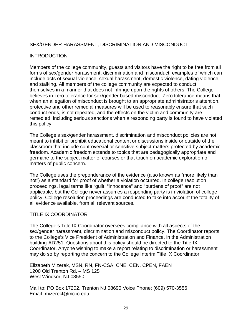#### SEX/GENDER HARASSMENT, DISCRIMINATION AND MISCONDUCT

#### INTRODUCTION

Members of the college community, guests and visitors have the right to be free from all forms of sex/gender harassment, discrimination and misconduct, examples of which can include acts of sexual violence, sexual harassment, domestic violence, dating violence, and stalking. All members of the college community are expected to conduct themselves in a manner that does not infringe upon the rights of others. The College believes in zero tolerance for sex/gender based misconduct. Zero tolerance means that when an allegation of misconduct is brought to an appropriate administrator's attention, protective and other remedial measures will be used to reasonably ensure that such conduct ends, is not repeated, and the effects on the victim and community are remedied, including serious sanctions when a responding party is found to have violated this policy.

The College's sex/gender harassment, discrimination and misconduct policies are not meant to inhibit or prohibit educational content or discussions inside or outside of the classroom that include controversial or sensitive subject matters protected by academic freedom. Academic freedom extends to topics that are pedagogically appropriate and germane to the subject matter of courses or that touch on academic exploration of matters of public concern.

The College uses the preponderance of the evidence (also known as "more likely than not") as a standard for proof of whether a violation occurred. In college resolution proceedings, legal terms like "guilt, "innocence" and "burdens of proof" are not applicable, but the College never assumes a responding party is in violation of college policy. College resolution proceedings are conducted to take into account the totality of all evidence available, from all relevant sources.

#### TITLE IX COORDINATOR

The College's Title IX Coordinator oversees compliance with all aspects of the sex/gender harassment, discrimination and misconduct policy. The Coordinator reports to the College's Vice President of Administration and Finance, in the Administration building-AD251. Questions about this policy should be directed to the Title IX Coordinator. Anyone wishing to make a report relating to discrimination or harassment may do so by reporting the concern to the College Interim Title IX Coordinator:

Elizabeth Mizerek, MSN, RN, FN-CSA, CNE, CEN, CPEN, FAEN 1200 Old Trenton Rd. – MS 125 West Windsor, NJ 08550

Mail to: PO Box 17202, Trenton NJ 08690 Voice Phone: (609) 570-3556 Email: mizerekl@mccc.edu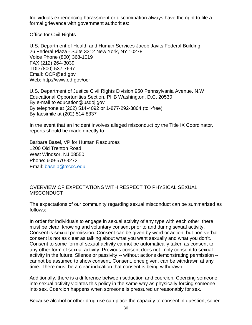Individuals experiencing harassment or discrimination always have the right to file a formal grievance with government authorities:

Office for Civil Rights

U.S. Department of Health and Human Services Jacob Javits Federal Building 26 Federal Plaza - Suite 3312 New York, NY 10278 Voice Phone (800) 368-1019 FAX (212) 264-3039 TDD (800) 537-7697 Email: OCR@ed.gov Web: http://www.ed.gov/ocr

U.S. Department of Justice Civil Rights Division 950 Pennsylvania Avenue, N.W. Educational Opportunities Section, PHB Washington, D.C. 20530 By e-mail to education@usdoj.gov By telephone at (202) 514-4092 or 1-877-292-3804 (toll-free) By facsimile at (202) 514-8337

In the event that an incident involves alleged misconduct by the Title IX Coordinator, reports should be made directly to:

Barbara Basel, VP for Human Resources 1200 Old Trenton Road West Windsor, NJ 08550 Phone: 609-570-3272 Email: [baselb@mccc.edu](mailto:baselb@mccc.edu)

#### OVERVIEW OF EXPECTATIONS WITH RESPECT TO PHYSICAL SEXUAL **MISCONDUCT**

The expectations of our community regarding sexual misconduct can be summarized as follows:

In order for individuals to engage in sexual activity of any type with each other, there must be clear, knowing and voluntary consent prior to and during sexual activity. Consent is sexual permission. Consent can be given by word or action, but non-verbal consent is not as clear as talking about what you want sexually and what you don't. Consent to some form of sexual activity cannot be automatically taken as consent to any other form of sexual activity. Previous consent does not imply consent to sexual activity in the future. Silence or passivity -- without actions demonstrating permission - cannot be assumed to show consent. Consent, once given, can be withdrawn at any time. There must be a clear indication that consent is being withdrawn.

Additionally, there is a difference between seduction and coercion. Coercing someone into sexual activity violates this policy in the same way as physically forcing someone into sex. Coercion happens when someone is pressured unreasonably for sex.

Because alcohol or other drug use can place the capacity to consent in question, sober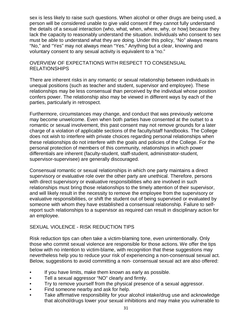sex is less likely to raise such questions. When alcohol or other drugs are being used, a person will be considered unable to give valid consent if they cannot fully understand the details of a sexual interaction (who, what, when, where, why, or how) because they lack the capacity to reasonably understand the situation. Individuals who consent to sex must be able to understand what they are doing. Under this policy, "No" always means "No," and "Yes" may not always mean "Yes." Anything but a clear, knowing and voluntary consent to any sexual activity is equivalent to a "no."

#### OVERVIEW OF EXPECTATIONS WITH RESPECT TO CONSENSUAL RELATIONSHIPS

There are inherent risks in any romantic or sexual relationship between individuals in unequal positions (such as teacher and student, supervisor and employee). These relationships may be less consensual than perceived by the individual whose position confers power. The relationship also may be viewed in different ways by each of the parties, particularly in retrospect.

Furthermore, circumstances may change, and conduct that was previously welcome may become unwelcome. Even when both parties have consented at the outset to a romantic or sexual involvement, this past consent may not remove grounds for a later charge of a violation of applicable sections of the faculty/staff handbooks. The College does not wish to interfere with private choices regarding personal relationships when these relationships do not interfere with the goals and policies of the College. For the personal protection of members of this community, relationships in which power differentials are inherent (faculty-student, staff-student, administrator-student, supervisor-supervisee) are generally discouraged.

Consensual romantic or sexual relationships in which one party maintains a direct supervisory or evaluative role over the other party are unethical. Therefore, persons with direct supervisory or evaluative responsibilities who are involved in such relationships must bring those relationships to the timely attention of their supervisor, and will likely result in the necessity to remove the employee from the supervisory or evaluative responsibilities, or shift the student out of being supervised or evaluated by someone with whom they have established a consensual relationship. Failure to selfreport such relationships to a supervisor as required can result in disciplinary action for an employee.

## SEXUAL VIOLENCE - RISK REDUCTION TIPS

Risk reduction tips can often take a victim-blaming tone, even unintentionally. Only those who commit sexual violence are responsible for those actions. We offer the tips below with no intention to victim-blame, with recognition that these suggestions may nevertheless help you to reduce your risk of experiencing a non-consensual sexual act. Below, suggestions to avoid committing a non- consensual sexual act are also offered:

- If you have limits, make them known as early as possible.
- Tell a sexual aggressor "NO" clearly and firmly.
- Try to remove yourself from the physical presence of a sexual aggressor.
- Find someone nearby and ask for help.
- Take affirmative responsibility for your alcohol intake/drug use and acknowledge that alcohol/drugs lower your sexual inhibitions and may make you vulnerable to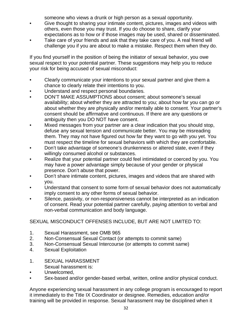someone who views a drunk or high person as a sexual opportunity.

- Give thought to sharing your intimate content, pictures, images and videos with others, even those you may trust. If you do choose to share, clarify your expectations as to how or if those images may be used, shared or disseminated.
- Take care of your friends and ask that they take care of you. A real friend will challenge you if you are about to make a mistake. Respect them when they do.

If you find yourself in the position of being the initiator of sexual behavior, you owe sexual respect to your potential partner. These suggestions may help you to reduce your risk for being accused of sexual misconduct:

- Clearly communicate your intentions to your sexual partner and give them a chance to clearly relate their intentions to you.
- Understand and respect personal boundaries.
- DON'T MAKE ASSUMPTIONS about consent; about someone's sexual availability; about whether they are attracted to you; about how far you can go or about whether they are physically and/or mentally able to consent. Your partner's consent should be affirmative and continuous. If there are any questions or ambiguity then you DO NOT have consent.
- Mixed messages from your partner are a clear indication that you should stop, defuse any sexual tension and communicate better. You may be misreading them. They may not have figured out how far they want to go with you yet. You must respect the timeline for sexual behaviors with which they are comfortable.
- Don't take advantage of someone's drunkenness or altered state, even if they willingly consumed alcohol or substances.
- Realize that your potential partner could feel intimidated or coerced by you. You may have a power advantage simply because of your gender or physical presence. Don't abuse that power.
- Don't share intimate content, pictures, images and videos that are shared with you.
- Understand that consent to some form of sexual behavior does not automatically imply consent to any other forms of sexual behavior.
- Silence, passivity, or non-responsiveness cannot be interpreted as an indication of consent. Read your potential partner carefully, paying attention to verbal and non-verbal communication and body language.

## SEXUAL MISCONDUCT OFFENSES INCLUDE, BUT ARE NOT LIMITED TO:

- 1. Sexual Harassment, see OMB 965
- 2. Non-Consensual Sexual Contact (or attempts to commit same)
- 3. Non-Consensual Sexual Intercourse (or attempts to commit same)
- 4. Sexual Exploitation
- 1. SEXUAL HARASSMENT Sexual harassment is:
- Unwelcomed,
- Sex-based and/or gender-based verbal, written, online and/or physical conduct.

Anyone experiencing sexual harassment in any college program is encouraged to report it immediately to the Title IX Coordinator or designee. Remedies, education and/or training will be provided in response. Sexual harassment may be disciplined when it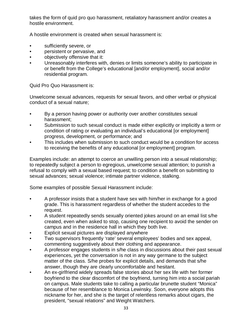takes the form of quid pro quo harassment, retaliatory harassment and/or creates a hostile environment.

A hostile environment is created when sexual harassment is:

- sufficiently severe, or
- persistent or pervasive, and
- objectively offensive that it:
- Unreasonably interferes with, denies or limits someone's ability to participate in or benefit from the College's educational [and/or employment], social and/or residential program.

Quid Pro Quo Harassment is:

Unwelcome sexual advances, requests for sexual favors, and other verbal or physical conduct of a sexual nature;

- By a person having power or authority over another constitutes sexual harassment;
- Submission to such sexual conduct is made either explicitly or implicitly a term or condition of rating or evaluating an individual's educational [or employment] progress, development, or performance; and
- This includes when submission to such conduct would be a condition for access to receiving the benefits of any educational [or employment] program.

Examples include: an attempt to coerce an unwilling person into a sexual relationship; to repeatedly subject a person to egregious, unwelcome sexual attention; to punish a refusal to comply with a sexual based request; to condition a benefit on submitting to sexual advances; sexual violence; intimate partner violence, stalking.

Some examples of possible Sexual Harassment include:

- A professor insists that a student have sex with him/her in exchange for a good grade. This is harassment regardless of whether the student accedes to the request.
- A student repeatedly sends sexually oriented jokes around on an email list s/he created, even when asked to stop, causing one recipient to avoid the sender on campus and in the residence hall in which they both live.
- Explicit sexual pictures are displayed anywhere
- Two supervisors frequently 'rate' several employees' bodies and sex appeal, commenting suggestively about their clothing and appearance.
- A professor engages students in s/he class in discussions about their past sexual experiences, yet the conversation is not in any way germane to the subject matter of the class. S/he probes for explicit details, and demands that s/he answer, though they are clearly uncomfortable and hesitant.
- An ex-girlfriend widely spreads false stories about her sex life with her former boyfriend to the clear discomfort of the boyfriend, turning him into a social pariah on campus. Male students take to calling a particular brunette student "Monica" because of her resemblance to Monica Lewinsky. Soon, everyone adopts this nickname for her, and she is the target of relentless remarks about cigars, the president, "sexual relations" and Weight Watchers.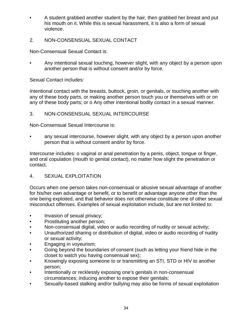• A student grabbed another student by the hair, then grabbed her breast and put his mouth on it. While this is sexual harassment, it is also a form of sexual violence.

#### 2. NON-CONSENSUAL SEXUAL CONTACT

Non-Consensual Sexual Contact is:

• Any intentional sexual touching, however slight, with any object by a person upon another person that is without consent and/or by force.

#### Sexual Contact includes:

Intentional contact with the breasts, buttock, groin, or genitals, or touching another with any of these body parts, or making another person touch you or themselves with or on any of these body parts; or o Any other intentional bodily contact in a sexual manner.

#### 3. NON-CONSENSUAL SEXUAL INTERCOURSE

Non-Consensual Sexual Intercourse is:

any sexual intercourse, however slight, with any object by a person upon another person that is without consent and/or by force.

Intercourse includes: o vaginal or anal penetration by a penis, object, tongue or finger, and oral copulation (mouth to genital contact), no matter how slight the penetration or contact.

## 4. SEXUAL EXPLOITATION

Occurs when one person takes non-consensual or abusive sexual advantage of another for his/her own advantage or benefit, or to benefit or advantage anyone other than the one being exploited, and that behavior does not otherwise constitute one of other sexual misconduct offenses. Examples of sexual exploitation include, but are not limited to:

- Invasion of sexual privacy;
- Prostituting another person;
- Non-consensual digital, video or audio recording of nudity or sexual activity;
- Unauthorized sharing or distribution of digital, video or audio recording of nudity or sexual activity;
- Engaging in voyeurism;
- Going beyond the boundaries of consent (such as letting your friend hide in the closet to watch you having consensual sex);
- Knowingly exposing someone to or transmitting an STI, STD or HIV to another person;
- Intentionally or recklessly exposing one's genitals in non-consensual circumstances; inducing another to expose their genitals;
- Sexually-based stalking and/or bullying may also be forms of sexual exploitation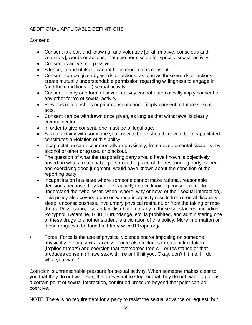## ADDITIONAL APPLICABLE DEFINITIONS:

Consent:

- Consent is clear, and knowing, and voluntary [or affirmative, conscious and voluntary], words or actions, that give permission for specific sexual activity.
- Consent is active, not passive.
- Silence, in and of itself, cannot be interpreted as consent.
- Consent can be given by words or actions, as long as those words or actions create mutually understandable permission regarding willingness to engage in (and the conditions of) sexual activity.
- Consent to any one form of sexual activity cannot automatically imply consent to any other forms of sexual activity.
- Previous relationships or prior consent cannot imply consent to future sexual acts.
- Consent can be withdrawn once given, as long as that withdrawal is clearly communicated.
- In order to give consent, one must be of legal age.
- Sexual activity with someone you know to be or should know to be incapacitated constitutes a violation of this policy.
- Incapacitation can occur mentally or physically, from developmental disability, by alcohol or other drug use, or blackout.
- The question of what the responding party should have known is objectively based on what a reasonable person in the place of the responding party, sober and exercising good judgment, would have known about the condition of the reporting party.
- Incapacitation is a state where someone cannot make rational, reasonable decisions because they lack the capacity to give knowing consent (e.g., to understand the "who, what, when, where, why or how" of their sexual interaction).
- This policy also covers a person whose incapacity results from mental disability, sleep, unconsciousness, involuntary physical restraint, or from the taking of rape drugs. Possession, use and/or distribution of any of these substances, including Rohypnol, Ketamine, GHB, Burundanga, etc. is prohibited, and administering one of these drugs to another student is a violation of this policy. More information on these drugs can be found at http://www.911rape.org/
- Force: Force is the use of physical violence and/or imposing on someone physically to gain sexual access. Force also includes threats, intimidation (implied threats) and coercion that overcomes free will or resistance or that produces consent ("Have sex with me or I'll hit you. Okay, don't hit me, I'll do what you want.").

Coercion is unreasonable pressure for sexual activity. When someone makes clear to you that they do not want sex, that they want to stop, or that they do not want to go past a certain point of sexual interaction, continued pressure beyond that point can be coercive.

NOTE: There is no requirement for a party to resist the sexual advance or request, but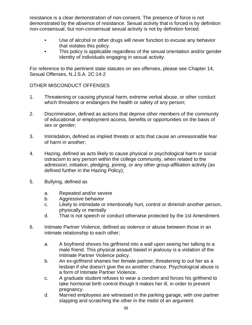resistance is a clear demonstration of non-consent. The presence of force is not demonstrated by the absence of resistance. Sexual activity that is forced is by definition non-consensual, but non-consensual sexual activity is not by definition forced.

- Use of alcohol or other drugs will never function to excuse any behavior that violates this policy.
- This policy is applicable regardless of the sexual orientation and/or gender identity of individuals engaging in sexual activity.

For reference to the pertinent state statutes on sex offenses, please see Chapter 14, Sexual Offenses, N.J.S.A. 2C:14-2

#### OTHER MISCONDUCT OFFENSES

- 1. Threatening or causing physical harm, extreme verbal abuse, or other conduct which threatens or endangers the health or safety of any person;
- 2. Discrimination, defined as actions that deprive other members of the community of educational or employment access, benefits or opportunities on the basis of sex or gender;
- 3. Intimidation, defined as implied threats or acts that cause an unreasonable fear of harm in another;
- 4. Hazing, defined as acts likely to cause physical or psychological harm or social ostracism to any person within the college community, when related to the admission, initiation, pledging, joining, or any other group-affiliation activity (as defined further in the Hazing Policy);
- 5. Bullying, defined as
	- a. Repeated and/or severe
	- b. Aggressive behavior
	- c. Likely to intimidate or intentionally hurt, control or diminish another person, physically or mentally
	- d. That is not speech or conduct otherwise protected by the 1st Amendment.
- 6. Intimate Partner Violence, defined as violence or abuse between those in an intimate relationship to each other;
	- a. A boyfriend shoves his girlfriend into a wall upon seeing her talking to a male friend. This physical assault based in jealousy is a violation of the Intimate Partner Violence policy.
	- b. An ex-girlfriend shames her female partner, threatening to out her as a lesbian if she doesn't give the ex another chance. Psychological abuse is a form of Intimate Partner Violence.
	- c. A graduate student refuses to wear a condom and forces his girlfriend to take hormonal birth control though it makes her ill, in order to prevent pregnancy.
	- d. Married employees are witnessed in the parking garage, with one partner slapping and scratching the other in the midst of an argument.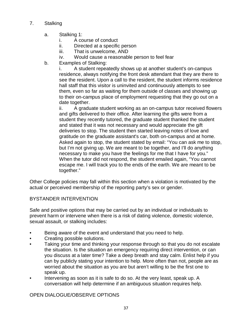- 7. Stalking
	- a. Stalking 1:
		- i. A course of conduct
		- ii. Directed at a specific person
		- iii. That is unwelcome, AND
		- iv. Would cause a reasonable person to feel fear
	- b. Examples of Stalking:

i. A student repeatedly shows up at another student's on-campus residence, always notifying the front desk attendant that they are there to see the resident. Upon a call to the resident, the student informs residence hall staff that this visitor is uninvited and continuously attempts to see them, even so far as waiting for them outside of classes and showing up to their on-campus place of employment requesting that they go out on a date together.

ii. A graduate student working as an on-campus tutor received flowers and gifts delivered to their office. After learning the gifts were from a student they recently tutored, the graduate student thanked the student and stated that it was not necessary and would appreciate the gift deliveries to stop. The student then started leaving notes of love and gratitude on the graduate assistant's car, both on-campus and at home. Asked again to stop, the student stated by email: "You can ask me to stop, but I'm not giving up. We are meant to be together, and I'll do anything necessary to make you have the feelings for me that I have for you." When the tutor did not respond, the student emailed again, "You cannot escape me. I will track you to the ends of the earth. We are meant to be together."

Other College policies may fall within this section when a violation is motivated by the actual or perceived membership of the reporting party's sex or gender.

#### BYSTANDER INTERVENTION

Safe and positive options that may be carried out by an individual or individuals to prevent harm or intervene when there is a risk of dating violence, domestic violence, sexual assault, or stalking includes:

- Being aware of the event and understand that you need to help.
- Creating possible solutions.
- Taking your time and thinking your response through so that you do not escalate the situation. Is the situation an emergency requiring direct intervention, or can you discuss at a later time? Take a deep breath and stay calm. Enlist help if you can by publicly stating your intention to help. More often than not, people are as worried about the situation as you are but aren't willing to be the first one to speak up.
- Intervening as soon as it is safe to do so. At the very least, speak up. A conversation will help determine if an ambiguous situation requires help.

OPEN DIALOGUE/OBSERVE OPTIONS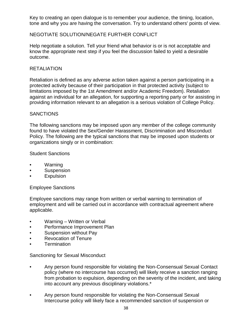Key to creating an open dialogue is to remember your audience, the timing, location, tone and why you are having the conversation. Try to understand others' points of view.

#### NEGOTIATE SOLUTION/NEGATE FURTHER CONFLICT

Help negotiate a solution. Tell your friend what behavior is or is not acceptable and know the appropriate next step if you feel the discussion failed to yield a desirable outcome.

#### RETALIATION

Retaliation is defined as any adverse action taken against a person participating in a protected activity because of their participation in that protected activity (subject to limitations imposed by the 1st Amendment and/or Academic Freedom). Retaliation against an individual for an allegation, for supporting a reporting party or for assisting in providing information relevant to an allegation is a serious violation of College Policy.

#### **SANCTIONS**

The following sanctions may be imposed upon any member of the college community found to have violated the Sex/Gender Harassment, Discrimination and Misconduct Policy. The following are the typical sanctions that may be imposed upon students or organizations singly or in combination:

Student Sanctions

- Warning
- Suspension
- Expulsion

Employee Sanctions

Employee sanctions may range from written or verbal warning to termination of employment and will be carried out in accordance with contractual agreement where applicable.

- Warning Written or Verbal
- Performance Improvement Plan
- Suspension without Pay
- Revocation of Tenure
- **Termination**

Sanctioning for Sexual Misconduct

- Any person found responsible for violating the Non-Consensual Sexual Contact policy (where no intercourse has occurred) will likely receive a sanction ranging from probation to expulsion, depending on the severity of the incident, and taking into account any previous disciplinary violations.\*
- Any person found responsible for violating the Non-Consensual Sexual Intercourse policy will likely face a recommended sanction of suspension or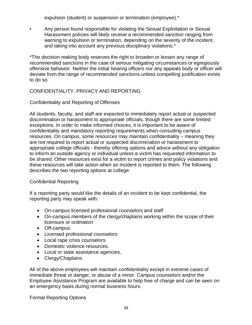expulsion (student) or suspension or termination (employee).\*

• Any person found responsible for violating the Sexual Exploitation or Sexual Harassment policies will likely receive a recommended sanction ranging from warning to expulsion or termination, depending on the severity of the incident, and taking into account any previous disciplinary violations.\*

\*The decision-making body reserves the right to broaden or lessen any range of recommended sanctions in the case of serious mitigating circumstances or egregiously offensive behavior. Neither the initial hearing officers nor any appeals body or officer will deviate from the range of recommended sanctions unless compelling justification exists to do so.

#### CONFIDENTIALITY, PRIVACY AND REPORTING

#### Confidentiality and Reporting of Offenses

All students, faculty, and staff are expected to immediately report actual or suspected discrimination or harassment to appropriate officials, though there are some limited exceptions. In order to make informed choices, it is important to be aware of confidentiality and mandatory reporting requirements when consulting campus resources. On campus, some resources may maintain confidentiality – meaning they are not required to report actual or suspected discrimination or harassment to appropriate college officials - thereby offering options and advice without any obligation to inform an outside agency or individual unless a victim has requested information to be shared. Other resources exist for a victim to report crimes and policy violations and these resources will take action when an incident is reported to them. The following describes the two reporting options at college:

#### Confidential Reporting

If a reporting party would like the details of an incident to be kept confidential, the reporting party may speak with:

- On-campus licensed professional counselors and staff
- On-campus members of the clergy/chaplains working within the scope of their licensure or ordination
- Off-campus:
- Licensed professional counselors
- Local rape crisis counselors
- Domestic violence resources,
- Local or state assistance agencies,
- Clergy/Chaplains

All of the above employees will maintain confidentiality except in extreme cases of immediate threat or danger, or abuse of a minor. Campus counselors and/or the Employee Assistance Program are available to help free of charge and can be seen on an emergency basis during normal business hours.

Formal Reporting Options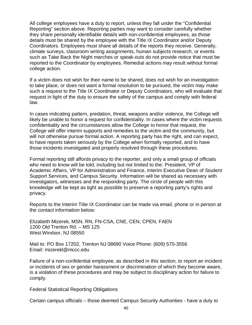All college employees have a duty to report, unless they fall under the "Confidential Reporting" section above. Reporting parties may want to consider carefully whether they share personally identifiable details with non-confidential employees, as those details must be shared by the employee with the Title IX Coordinator and/or Deputy Coordinators. Employees must share all details of the reports they receive. Generally, climate surveys, classroom writing assignments, human subjects research, or events such as Take Back the Night marches or speak-outs do not provide notice that must be reported to the Coordinator by employees. Remedial actions may result without formal college action.

If a victim does not wish for their name to be shared, does not wish for an investigation to take place, or does not want a formal resolution to be pursued, the victim may make such a request to the Title IX Coordinator or Deputy Coordinators, who will evaluate that request in light of the duty to ensure the safety of the campus and comply with federal law.

In cases indicating pattern, predation, threat, weapons and/or violence, the College will likely be unable to honor a request for confidentiality. In cases where the victim requests confidentiality and the circumstances allow the College to honor that request, the College will offer interim supports and remedies to the victim and the community, but will not otherwise pursue formal action. A reporting party has the right, and can expect, to have reports taken seriously by the College when formally reported, and to have those incidents investigated and properly resolved through these procedures.

Formal reporting still affords privacy to the reporter, and only a small group of officials who need to know will be told, including but not limited to the: President, VP of Academic Affairs, VP for Administration and Finance, Interim Executive Dean of Student Support Services, and Campus Security. Information will be shared as necessary with investigators, witnesses and the responding party. The circle of people with this knowledge will be kept as tight as possible to preserve a reporting party's rights and privacy.

Reports to the Interim Title IX Coordinator can be made via email, phone or in person at the contact information below:

Elizabeth Mizerek, MSN, RN, FN-CSA, CNE, CEN, CPEN, FAEN 1200 Old Trenton Rd. – MS 125 West Windsor, NJ 08550

Mail to: PO Box 17202, Trenton NJ 08690 Voice Phone: (609) 570-3556 Email: mizerekl@mccc.edu

Failure of a non-confidential employee, as described in this section, to report an incident or incidents of sex or gender harassment or discrimination of which they become aware, is a violation of these procedures and may be subject to disciplinary action for failure to comply.

Federal Statistical Reporting Obligations

Certain campus officials – those deemed Campus Security Authorities - have a duty to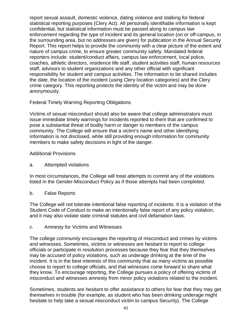report sexual assault, domestic violence, dating violence and stalking for federal statistical reporting purposes (Clery Act). All personally identifiable information is kept confidential, but statistical information must be passed along to campus law enforcement regarding the type of incident and its general location (on or off-campus, in the surrounding area, but no addresses are given) for publication in the Annual Security Report. This report helps to provide the community with a clear picture of the extent and nature of campus crime, to ensure greater community safety. Mandated federal reporters include: student/conduct affairs, campus law enforcement, local police, coaches, athletic directors, residence life staff, student activities staff, human resources staff, advisors to student organizations and any other official with significant responsibility for student and campus activities. The information to be shared includes the date, the location of the incident (using Clery location categories) and the Clery crime category. This reporting protects the identity of the victim and may be done anonymously.

#### Federal Timely Warning Reporting Obligations

Victims of sexual misconduct should also be aware that college administrators must issue immediate timely warnings for incidents reported to them that are confirmed to pose a substantial threat of bodily harm or danger to members of the campus community. The College will ensure that a victim's name and other identifying information is not disclosed, while still providing enough information for community members to make safety decisions in light of the danger.

#### Additional Provisions

a. Attempted violations

In most circumstances, the College will treat attempts to commit any of the violations listed in the Gender-Misconduct Policy as if those attempts had been completed.

b. False Reports

The College will not tolerate intentional false reporting of incidents. It is a violation of the Student Code of Conduct to make an intentionally false report of any policy violation, and it may also violate state criminal statutes and civil defamation laws.

c. Amnesty for Victims and Witnesses

The college community encourages the reporting of misconduct and crimes by victims and witnesses. Sometimes, victims or witnesses are hesitant to report to college officials or participate in resolution processes because they fear that they themselves may be accused of policy violations, such as underage drinking at the time of the incident. It is in the best interests of this community that as many victims as possible choose to report to college officials, and that witnesses come forward to share what they know. To encourage reporting, the College pursues a policy of offering victims of misconduct and witnesses amnesty from minor policy violations related to the incident.

Sometimes, students are hesitant to offer assistance to others for fear that they may get themselves in trouble (for example, as student who has been drinking underage might hesitate to help take a sexual misconduct victim to campus Security). The College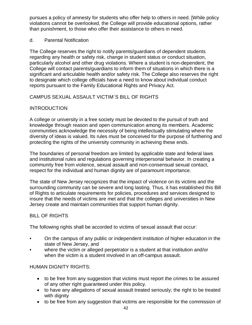pursues a policy of amnesty for students who offer help to others in need. [While policy violations cannot be overlooked, the College will provide educational options, rather than punishment, to those who offer their assistance to others in need.

d. Parental Notification

The College reserves the right to notify parents/guardians of dependent students regarding any health or safety risk, change in student status or conduct situation, particularly alcohol and other drug violations. Where a student is non-dependent, the College will contact parents/guardians to inform them of situations in which there is a significant and articulable health and/or safety risk. The College also reserves the right to designate which college officials have a need to know about individual conduct reports pursuant to the Family Educational Rights and Privacy Act.

## CAMPUS SEXUAL ASSAULT VICTIM`S BILL OF RIGHTS

## INTRODUCTION

A college or university in a free society must be devoted to the pursuit of truth and knowledge through reason and open communication among its members. Academic communities acknowledge the necessity of being intellectually stimulating where the diversity of ideas is valued. Its rules must be conceived for the purpose of furthering and protecting the rights of the university community in achieving these ends.

The boundaries of personal freedom are limited by applicable state and federal laws and institutional rules and regulations governing interpersonal behavior. In creating a community free from violence, sexual assault and non-consensual sexual contact, respect for the individual and human dignity are of paramount importance.

The state of New Jersey recognizes that the impact of violence on its victims and the surrounding community can be severe and long lasting. Thus, it has established this Bill of Rights to articulate requirements for policies, procedures and services designed to insure that the needs of victims are met and that the colleges and universities in New Jersey create and maintain communities that support human dignity.

## BILL OF RIGHTS

The following rights shall be accorded to victims of sexual assault that occur:

- On the campus of any public or independent institution of higher education in the state of New Jersey, and
- where the victim or alleged perpetrator is a student at that institution and/or when the victim is a student involved in an off-campus assault.

## HUMAN DIGNITY RIGHTS:

- to be free from any suggestion that victims must report the crimes to be assured of any other right guaranteed under this policy.
- to have any allegations of sexual assault treated seriously; the right to be treated with dignity
- to be free from any suggestion that victims are responsible for the commission of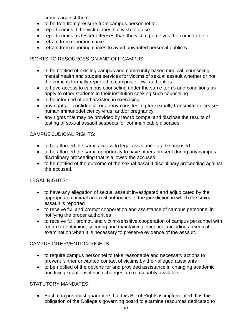crimes against them

- to be free from pressure from campus personnel to:
- report crimes if the victim does not wish to do so
- report crimes as lesser offenses than the victim perceives the crime to be o
- refrain from reporting crime
- refrain from reporting crimes to avoid unwanted personal publicity.

#### RIGHTS TO RESOURCES ON AND OFF CAMPUS:

- to be notified of existing campus and community based medical, counseling, mental health and student services for victims of sexual assault whether or not the crime is formally reported to campus or civil authorities
- to have access to campus counseling under the same terms and conditions as apply to other students in their institution seeking such counseling
- to be informed of and assisted in exercising:
- any rights to confidential or anonymous testing for sexually transmitted diseases, human immunodeficiency virus, and/or pregnancy
- any rights that may be provided by law to compel and disclose the results of testing of sexual assault suspects for communicable diseases.

#### CAMPUS JUDICIAL RIGHTS:

- to be afforded the same access to legal assistance as the accused
- to be afforded the same opportunity to have others present during any campus disciplinary proceeding that is allowed the accused
- to be notified of the outcome of the sexual assault disciplinary proceeding against the accused.

#### LEGAL RIGHTS:

- to have any allegation of sexual assault investigated and adjudicated by the appropriate criminal and civil authorities of the jurisdiction in which the sexual assault is reported
- to receive full and prompt cooperation and assistance of campus personnel in notifying the proper authorities
- to receive full, prompt, and victim-sensitive cooperation of campus personnel with regard to obtaining, securing and maintaining evidence, including a medical examination when it is necessary to preserve evidence of the assault.

#### CAMPUS INTERVENTION RIGHTS:

- to require campus personnel to take reasonable and necessary actions to prevent further unwanted contact of victims by their alleged assailants
- to be notified of the options for and provided assistance in changing academic and living situations if such changes are reasonably available.

#### STATUTORY MANDATES:

• Each campus must guarantee that this Bill of Rights is implemented. It is the obligation of the College's governing board to examine resources dedicated to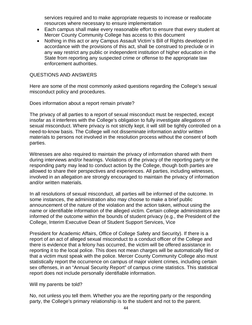services required and to make appropriate requests to increase or reallocate resources where necessary to ensure implementation

- Each campus shall make every reasonable effort to ensure that every student at Mercer County Community College has access to this document
- Nothing in this act or any Campus Assault Victim`s Bill of Rights developed in accordance with the provisions of this act, shall be construed to preclude or in any way restrict any public or independent institution of higher education in the State from reporting any suspected crime or offense to the appropriate law enforcement authorities.

#### QUESTIONS AND ANSWERS

Here are some of the most commonly asked questions regarding the College's sexual misconduct policy and procedures.

Does information about a report remain private?

The privacy of all parties to a report of sexual misconduct must be respected, except insofar as it interferes with the College's obligation to fully investigate allegations of sexual misconduct. Where privacy is not strictly kept, it will still be tightly controlled on a need-to-know basis. The College will not disseminate information and/or written materials to persons not involved in the resolution process without the consent of both parties.

Witnesses are also required to maintain the privacy of information shared with them during interviews and/or hearings. Violations of the privacy of the reporting party or the responding party may lead to conduct action by the College, though both parties are allowed to share their perspectives and experiences. All parties, including witnesses, involved in an allegation are strongly encouraged to maintain the privacy of information and/or written materials.

In all resolutions of sexual misconduct, all parties will be informed of the outcome. In some instances, the administration also may choose to make a brief public announcement of the nature of the violation and the action taken, without using the name or identifiable information of the alleged victim. Certain college administrators are informed of the outcome within the bounds of student privacy (e.g., the President of the College, Interim Executive Dean of Student Support Services, Vice

President for Academic Affairs, Office of College Safety and Security). If there is a report of an act of alleged sexual misconduct to a conduct officer of the College and there is evidence that a felony has occurred, the victim will be offered assistance in reporting it to the local police. This does not mean charges will be automatically filed or that a victim must speak with the police. Mercer County Community College also must statistically report the occurrence on campus of major violent crimes, including certain sex offenses, in an "Annual Security Report" of campus crime statistics. This statistical report does not include personally identifiable information.

#### Will my parents be told?

No, not unless you tell them. Whether you are the reporting party or the responding party, the College's primary relationship is to the student and not to the parent.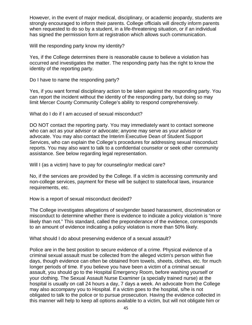However, in the event of major medical, disciplinary, or academic jeopardy, students are strongly encouraged to inform their parents. College officials will directly inform parents when requested to do so by a student, in a life-threatening situation, or if an individual has signed the permission form at registration which allows such communication.

Will the responding party know my identity?

Yes, if the College determines there is reasonable cause to believe a violation has occurred and investigates the matter. The responding party has the right to know the identity of the reporting party.

Do I have to name the responding party?

Yes, if you want formal disciplinary action to be taken against the responding party. You can report the incident without the identity of the responding party, but doing so may limit Mercer County Community College's ability to respond comprehensively.

What do I do if I am accused of sexual misconduct?

DO NOT contact the reporting party. You may immediately want to contact someone who can act as your advisor or advocate; anyone may serve as your advisor or advocate. You may also contact the Interim Executive Dean of Student Support Services, who can explain the College's procedures for addressing sexual misconduct reports. You may also want to talk to a confidential counselor or seek other community assistance. See below regarding legal representation.

Will I (as a victim) have to pay for counseling/or medical care?

No, if the services are provided by the College. If a victim is accessing community and non-college services, payment for these will be subject to state/local laws, insurance requirements, etc.

How is a report of sexual misconduct decided?

The College investigates allegations of sex/gender based harassment, discrimination or misconduct to determine whether there is evidence to indicate a policy violation is "more likely than not." This standard, called the preponderance of the evidence, corresponds to an amount of evidence indicating a policy violation is more than 50% likely.

What should I do about preserving evidence of a sexual assault?

Police are in the best position to secure evidence of a crime. Physical evidence of a criminal sexual assault must be collected from the alleged victim's person within five days, though evidence can often be obtained from towels, sheets, clothes, etc. for much longer periods of time. If you believe you have been a victim of a criminal sexual assault, you should go to the Hospital Emergency Room, before washing yourself or your clothing. The Sexual Assault Nurse Examiner (a specially trained nurse) at the hospital is usually on call 24 hours a day, 7 days a week. An advocate from the College may also accompany you to Hospital. If a victim goes to the hospital, s/he is not obligated to talk to the police or to pursue prosecution. Having the evidence collected in this manner will help to keep all options available to a victim, but will not obligate him or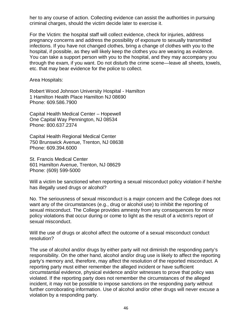her to any course of action. Collecting evidence can assist the authorities in pursuing criminal charges, should the victim decide later to exercise it.

For the Victim: the hospital staff will collect evidence, check for injuries, address pregnancy concerns and address the possibility of exposure to sexually transmitted infections. If you have not changed clothes, bring a change of clothes with you to the hospital, if possible, as they will likely keep the clothes you are wearing as evidence. You can take a support person with you to the hospital, and they may accompany you through the exam, if you want. Do not disturb the crime scene—leave all sheets, towels, etc. that may bear evidence for the police to collect.

Area Hospitals:

Robert Wood Johnson University Hospital - Hamilton 1 Hamilton Health Place Hamilton NJ 08690 Phone: 609.586.7900

Capital Health Medical Center – Hopewell One Capital Way Pennington, NJ 08534 Phone: 800.637.2374

Capital Health Regional Medical Center 750 Brunswick Avenue, Trenton, NJ 08638 Phone: 609.394.6000

St. Francis Medical Center 601 Hamilton Avenue, Trenton, NJ 08629 Phone: (609) 599-5000

Will a victim be sanctioned when reporting a sexual misconduct policy violation if he/she has illegally used drugs or alcohol?

No. The seriousness of sexual misconduct is a major concern and the College does not want any of the circumstances (e.g., drug or alcohol use) to inhibit the reporting of sexual misconduct. The College provides amnesty from any consequences for minor policy violations that occur during or come to light as the result of a victim's report of sexual misconduct.

Will the use of drugs or alcohol affect the outcome of a sexual misconduct conduct resolution?

The use of alcohol and/or drugs by either party will not diminish the responding party's responsibility. On the other hand, alcohol and/or drug use is likely to affect the reporting party's memory and, therefore, may affect the resolution of the reported misconduct. A reporting party must either remember the alleged incident or have sufficient circumstantial evidence, physical evidence and/or witnesses to prove that policy was violated. If the reporting party does not remember the circumstances of the alleged incident, it may not be possible to impose sanctions on the responding party without further corroborating information. Use of alcohol and/or other drugs will never excuse a violation by a responding party.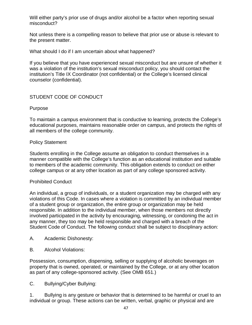Will either party's prior use of drugs and/or alcohol be a factor when reporting sexual misconduct?

Not unless there is a compelling reason to believe that prior use or abuse is relevant to the present matter.

What should I do if I am uncertain about what happened?

If you believe that you have experienced sexual misconduct but are unsure of whether it was a violation of the institution's sexual misconduct policy, you should contact the institution's Title IX Coordinator (not confidential) or the College's licensed clinical counselor (confidential).

#### STUDENT CODE OF CONDUCT

Purpose

To maintain a campus environment that is conductive to learning, protects the College's educational purposes, maintains reasonable order on campus, and protects the rights of all members of the college community.

#### Policy Statement

Students enrolling in the College assume an obligation to conduct themselves in a manner compatible with the College's function as an educational institution and suitable to members of the academic community. This obligation extends to conduct on either college campus or at any other location as part of any college sponsored activity.

#### Prohibited Conduct

An individual, a group of individuals, or a student organization may be charged with any violations of this Code. In cases where a violation is committed by an individual member of a student group or organization, the entire group or organization may be held responsible. In addition to the individual member, when those members not directly involved participated in the activity by encouraging, witnessing, or condoning the act in any manner, they too may be held responsible and charged with a breach of the Student Code of Conduct. The following conduct shall be subject to disciplinary action:

- A. Academic Dishonesty:
- B. Alcohol Violations:

Possession, consumption, dispensing, selling or supplying of alcoholic beverages on property that is owned, operated, or maintained by the College, or at any other location as part of any college-sponsored activity. (See OMB 651.)

C. Bullying/Cyber Bullying:

1. Bullying is any gesture or behavior that is determined to be harmful or cruel to an individual or group. These actions can be written, verbal, graphic or physical and are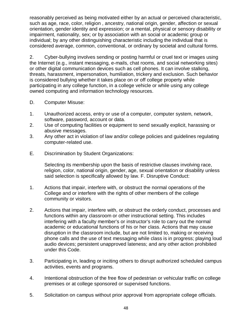reasonably perceived as being motivated either by an actual or perceived characteristic, such as age, race, color, religion , ancestry, national origin, gender, affection or sexual orientation, gender identity and expression; or a mental, physical or sensory disability or impairment, nationality, sex; or by association with an social or academic group or individual; by any other distinguishing characteristic including the individual that is considered average, common, conventional, or ordinary by societal and cultural forms.

2. Cyber-bullying involves sending or posting harmful or cruel text or images using the Internet (e.g., instant messaging, e-mails, chat rooms, and social networking sites) or other digital communication devices such as cell phones. It can involve stalking, threats, harassment, impersonation, humiliation, trickery and exclusion. Such behavior is considered bullying whether it takes place on or off college property while participating in any college function, in a college vehicle or while using any college owned computing and information technology resources.

- D. Computer Misuse:
- 1. Unauthorized access, entry or use of a computer, computer system, network, software, password, account or data.
- 2. Use of computing facilities or equipment to send sexually explicit, harassing or abusive messages.
- 3. Any other act in violation of law and/or college policies and guidelines regulating computer-related use.
- E. Discrimination by Student Organizations:

Selecting its membership upon the basis of restrictive clauses involving race, religion, color, national origin, gender, age, sexual orientation or disability unless said selection is specifically allowed by law. F. Disruptive Conduct:

- 1. Actions that impair, interfere with, or obstruct the normal operations of the College and or interfere with the rights of other members of the college community or visitors.
- 2. Actions that impair, interfere with, or obstruct the orderly conduct, processes and functions within any classroom or other instructional setting. This includes interfering with a faculty member's or instructor's role to carry out the normal academic or educational functions of his or her class. Actions that may cause disruption in the classroom include, but are not limited to, making or receiving phone calls and the use of text messaging while class is in progress; playing loud audio devices; persistent unapproved lateness; and any other action prohibited under this Code.
- 3. Participating in, leading or inciting others to disrupt authorized scheduled campus activities, events and programs.
- 4. Intentional obstruction of the free flow of pedestrian or vehicular traffic on college premises or at college sponsored or supervised functions.
- 5. Solicitation on campus without prior approval from appropriate college officials.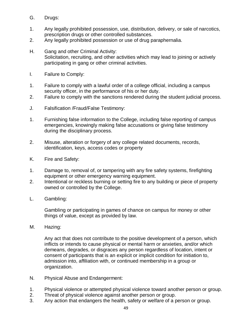- G. Drugs:
- 1. Any legally prohibited possession, use, distribution, delivery, or sale of narcotics, prescription drugs or other controlled substances.
- 2. Any legally prohibited possession or use of drug paraphernalia.
- H. Gang and other Criminal Activity: Solicitation, recruiting, and other activities which may lead to joining or actively participating in gang or other criminal activities.
- I. Failure to Comply:
- 1. Failure to comply with a lawful order of a college official, including a campus security officer, in the performance of his or her duty.
- 2. Failure to comply with the sanctions rendered during the student judicial process.
- J. Falsification /Fraud/False Testimony:
- 1. Furnishing false information to the College, including false reporting of campus emergencies, knowingly making false accusations or giving false testimony during the disciplinary process.
- 2. Misuse, alteration or forgery of any college related documents, records, identification, keys, access codes or property
- K. Fire and Safety:
- 1. Damage to, removal of, or tampering with any fire safety systems, firefighting equipment or other emergency warning equipment.
- 2. Intentional or reckless burning or setting fire to any building or piece of property owned or controlled by the College.
- L. Gambling:

Gambling or participating in games of chance on campus for money or other things of value, except as provided by law.

M. Hazing:

Any act that does not contribute to the positive development of a person, which inflicts or intends to cause physical or mental harm or anxieties, and/or which demeans, degrades, or disgraces any person regardless of location, intent or consent of participants that is an explicit or implicit condition for initiation to, admission into, affiliation with, or continued membership in a group or organization.

- N. Physical Abuse and Endangerment:
- 1. Physical violence or attempted physical violence toward another person or group.
- 2. Threat of physical violence against another person or group.
- 3. Any action that endangers the health, safety or welfare of a person or group.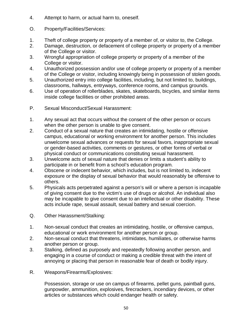- 4. Attempt to harm, or actual harm to, oneself.
- O. Property/Facilities/Services:
- 1. Theft of college property or property of a member of, or visitor to, the College.
- 2. Damage, destruction, or defacement of college property or property of a member of the College or visitor.
- 3. Wrongful appropriation of college property or property of a member of the College or visitor.
- 4. Unauthorized possession and/or use of college property or property of a member of the College or visitor, including knowingly being in possession of stolen goods.
- 5. Unauthorized entry into college facilities, including, but not limited to, buildings, classrooms, hallways, entryways, conference rooms, and campus grounds.
- 6. Use of operation of rollerblades, skates, skateboards, bicycles, and similar items inside college facilities or other prohibited areas.
- P. Sexual Misconduct/Sexual Harassment:
- 1. Any sexual act that occurs without the consent of the other person or occurs when the other person is unable to give consent.
- 2. Conduct of a sexual nature that creates an intimidating, hostile or offensive campus, educational or working environment for another person. This includes unwelcome sexual advances or requests for sexual favors, inappropriate sexual or gender-based activities, comments or gestures, or other forms of verbal or physical conduct or communications constituting sexual harassment.
- 3. Unwelcome acts of sexual nature that denies or limits a student's ability to participate in or benefit from a school's education program.
- 4. Obscene or indecent behavior, which includes, but is not limited to, indecent exposure or the display of sexual behavior that would reasonably be offensive to others.
- 5. Physicals acts perpetrated against a person's will or where a person is incapable of giving consent due to the victim's use of drugs or alcohol. An individual also may be incapable to give consent due to an intellectual or other disability. These acts include rape, sexual assault, sexual battery and sexual coercion.
- Q. Other Harassment/Stalking:
- 1. Non-sexual conduct that creates an intimidating, hostile, or offensive campus, educational or work environment for another person or group.
- 2. Non-sexual conduct that threatens, intimidates, humiliates, or otherwise harms another person or group.
- 3. Stalking, defined as purposely and repeatedly following another person, and engaging in a course of conduct or making a credible threat with the intent of annoying or placing that person in reasonable fear of death or bodily injury.
- R. Weapons/Firearms/Explosives:

Possession, storage or use on campus of firearms, pellet guns, paintball guns, gunpowder, ammunition, explosives, firecrackers, incendiary devices, or other articles or substances which could endanger health or safety.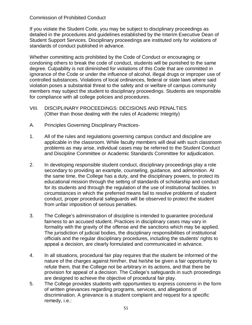#### Commission of Prohibited Conduct

If you violate the Student Code, you may be subject to disciplinary proceedings as detailed in the procedures and guidelines established by the Interim Executive Dean of Student Support Services. Disciplinary proceedings are instituted only for violations of standards of conduct published in advance.

Whether committing acts prohibited by the Code of Conduct or encouraging or condoning others to break the code of conduct, students will be punished to the same degree. Culpability is not diminished for violations of this Code that are committed in ignorance of the Code or under the influence of alcohol, illegal drugs or improper use of controlled substances. Violations of local ordinances, federal or state laws where said violation poses a substantial threat to the safety and or welfare of campus community members may subject the student to disciplinary proceedings. Students are responsible for compliance with all college policies and procedures.

- VIII. DISCIPLINARY PROCEEDINGS: DECISIONS AND PENALTIES (Other than those dealing with the rules of Academic Integrity)
- A. Principles Governing Disciplinary Practices-
- 1. All of the rules and regulations governing campus conduct and discipline are applicable in the classroom. While faculty members will deal with such classroom problems as may arise, individual cases may be referred to the Student Conduct and Discipline Committee or Academic Standards Committee for adjudication.
- 2. In developing responsible student conduct, disciplinary proceedings play a role secondary to providing an example, counseling, guidance, and admonition. At the same time, the College has a duty, and the disciplinary powers, to protect its educational mission through the setting of standards of scholarship and conduct for its students and through the regulation of the use of institutional facilities. In circumstances in which the preferred means fail to resolve problems of student conduct, proper procedural safeguards will be observed to protect the student from unfair imposition of serious penalties.
- 3. The College's administration of discipline is intended to guarantee procedural fairness to an accused student. Practices in disciplinary cases may vary in formality with the gravity of the offense and the sanctions which may be applied. The jurisdiction of judicial bodies, the disciplinary responsibilities of institutional officials and the regular disciplinary procedures, including the students' rights to appeal a decision, are clearly formulated and communicated in advance.
- 4. In all situations, procedural fair play requires that the student be informed of the nature of the charges against him/her, that he/she be given a fair opportunity to refute them, that the College not be arbitrary in its actions, and that there be provision for appeal of a decision. The College's safeguards in such proceedings are designed to achieve the objective of procedural fair play.
- 5. The College provides students with opportunities to express concerns in the form of written grievances regarding programs, services, and allegations of discrimination. A grievance is a student complaint and request for a specific remedy, i.e.: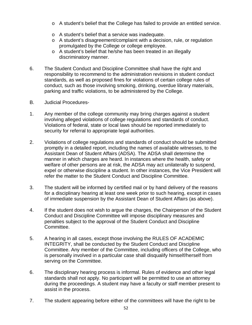- o A student's belief that the College has failed to provide an entitled service.
- o A student's belief that a service was inadequate.
- o A student's disagreement/complaint with a decision, rule, or regulation promulgated by the College or college employee.
- o A student's belief that he/she has been treated in an illegally discriminatory manner.
- 6. The Student Conduct and Discipline Committee shall have the right and responsibility to recommend to the administration revisions in student conduct standards, as well as proposed fines for violations of certain college rules of conduct, such as those involving smoking, drinking, overdue library materials, parking and traffic violations, to be administered by the College.
- B. Judicial Procedures-
- 1. Any member of the college community may bring charges against a student involving alleged violations of college regulations and standards of conduct. Violations of federal, state or local laws should be reported immediately to security for referral to appropriate legal authorities.
- 2. Violations of college regulations and standards of conduct should be submitted promptly in a detailed report, including the names of available witnesses, to the Assistant Dean of Student Affairs (ADSA). The ADSA shall determine the manner in which charges are heard. In instances where the health, safety or welfare of other persons are at risk, the ADSA may act unilaterally to suspend, expel or otherwise discipline a student. In other instances, the Vice President will refer the matter to the Student Conduct and Discipline Committee.
- 3. The student will be informed by certified mail or by hand delivery of the reasons for a disciplinary hearing at least one week prior to such hearing, except in cases of immediate suspension by the Assistant Dean of Student Affairs (as above).
- 4. If the student does not wish to argue the charges, the Chairperson of the Student Conduct and Discipline Committee will impose disciplinary measures and penalties subject to the approval of the Student Conduct and Discipline Committee.
- 5. A hearing in all cases, except those involving the RULES OF ACADEMIC INTEGRITY, shall be conducted by the Student Conduct and Discipline Committee. Any member of the Committee, including officers of the College, who is personally involved in a particular case shall disqualify himself/herself from serving on the Committee.
- 6. The disciplinary hearing process is informal. Rules of evidence and other legal standards shall not apply. No participant will be permitted to use an attorney during the proceedings. A student may have a faculty or staff member present to assist in the process.
- 7. The student appearing before either of the committees will have the right to be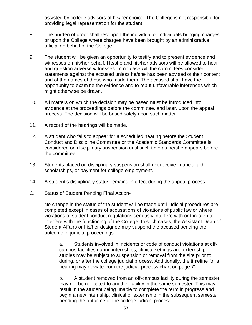assisted by college advisors of his/her choice. The College is not responsible for providing legal representation for the student.

- 8. The burden of proof shall rest upon the individual or individuals bringing charges, or upon the College where charges have been brought by an administrative official on behalf of the College.
- 9. The student will be given an opportunity to testify and to present evidence and witnesses on his/her behalf. He/she and his/her advisors will be allowed to hear and question adverse witnesses. In no case will the committees consider statements against the accused unless he/she has been advised of their content and of the names of those who made them. The accused shall have the opportunity to examine the evidence and to rebut unfavorable inferences which might otherwise be drawn.
- 10. All matters on which the decision may be based must be introduced into evidence at the proceedings before the committee, and later, upon the appeal process. The decision will be based solely upon such matter.
- 11. A record of the hearings will be made.
- 12. A student who fails to appear for a scheduled hearing before the Student Conduct and Discipline Committee or the Academic Standards Committee is considered on disciplinary suspension until such time as he/she appears before the committee.
- 13. Students placed on disciplinary suspension shall not receive financial aid, scholarships, or payment for college employment.
- 14. A student's disciplinary status remains in effect during the appeal process.
- C. Status of Student Pending Final Action-
- 1. No change in the status of the student will be made until judicial procedures are completed except in cases of accusations of violations of public law or where violations of student conduct regulations seriously interfere with or threaten to interfere with the functioning of the College. In such cases, the Assistant Dean of Student Affairs or his/her designee may suspend the accused pending the outcome of judicial proceedings.

a. Students involved in incidents or code of conduct violations at offcampus facilities during internships, clinical settings and externship studies may be subject to suspension or removal from the site prior to, during, or after the college judicial process. Additionally, the timeline for a hearing may deviate from the judicial process chart on page 72.

b. A student removed from an off-campus facility during the semester may not be relocated to another facility in the same semester. This may result in the student being unable to complete the term in progress and begin a new internship, clinical or externship in the subsequent semester pending the outcome of the college judicial process.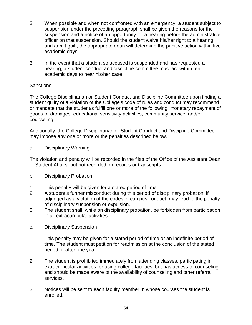- 2. When possible and when not confronted with an emergency, a student subject to suspension under the preceding paragraph shall be given the reasons for the suspension and a notice of an opportunity for a hearing before the administrative officer on that suspension. Should the student waive his/her right to a hearing and admit guilt, the appropriate dean will determine the punitive action within five academic days.
- 3. In the event that a student so accused is suspended and has requested a hearing, a student conduct and discipline committee must act within ten academic days to hear his/her case.

#### Sanctions:

The College Disciplinarian or Student Conduct and Discipline Committee upon finding a student guilty of a violation of the College's code of rules and conduct may recommend or mandate that the student/s fulfill one or more of the following: monetary repayment of goods or damages, educational sensitivity activities, community service, and/or counseling.

Additionally, the College Disciplinarian or Student Conduct and Discipline Committee may impose any one or more or the penalties described below.

a. Disciplinary Warning

The violation and penalty will be recorded in the files of the Office of the Assistant Dean of Student Affairs, but not recorded on records or transcripts.

- b. Disciplinary Probation
- 1. This penalty will be given for a stated period of time.
- 2. A student's further misconduct during this period of disciplinary probation, if adjudged as a violation of the codes of campus conduct, may lead to the penalty of disciplinary suspension or expulsion.
- 3. The student shall, while on disciplinary probation, be forbidden from participation in all extracurricular activities.
- c. Disciplinary Suspension
- 1. This penalty may be given for a stated period of time or an indefinite period of time. The student must petition for readmission at the conclusion of the stated period or after one year.
- 2. The student is prohibited immediately from attending classes, participating in extracurricular activities, or using college facilities, but has access to counseling, and should be made aware of the availability of counseling and other referral services.
- 3. Notices will be sent to each faculty member in whose courses the student is enrolled.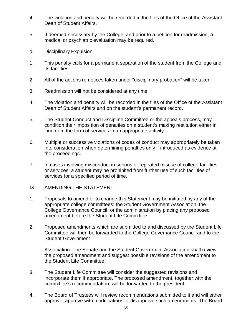- 4. The violation and penalty will be recorded in the files of the Office of the Assistant Dean of Student Affairs.
- 5. If deemed necessary by the College, and prior to a petition for readmission, a medical or psychiatric evaluation may be required.
- d. Disciplinary Expulsion
- 1. This penalty calls for a permanent separation of the student from the College and its facilities.
- 2. All of the actions re notices taken under "disciplinary probation" will be taken.
- 3. Readmission will not be considered at any time.
- 4. The violation and penalty will be recorded in the files of the Office of the Assistant Dean of Student Affairs and on the student's permanent record.
- 5. The Student Conduct and Discipline Committee or the appeals process, may condition their imposition of penalties on a student's making restitution either in kind or in the form of services in an appropriate activity.
- 6. Multiple or successive violations of codes of conduct may appropriately be taken into consideration when determining penalties only if introduced as evidence at the proceedings.
- 7. In cases involving misconduct in serious or repeated misuse of college facilities or services, a student may be prohibited from further use of such facilities of services for a specified period of time.
- IX. AMENDING THE STATEMENT
- 1. Proposals to amend or to change this Statement may be initiated by any of the appropriate college committees: the Student Government Association, the College Governance Council, or the administration by placing any proposed amendment before the Student Life Committee.
- 2. Proposed amendments which are submitted to and discussed by the Student Life Committee will then be forwarded to the College Governance Council and to the Student Government

Association. The Senate and the Student Government Association shall review the proposed amendment and suggest possible revisions of the amendment to the Student Life Committee.

- 3. The Student Life Committee will consider the suggested revisions and incorporate them if appropriate. The proposed amendment, together with the committee's recommendation, will be forwarded to the president.
- 4. The Board of Trustees will review recommendations submitted to it and will either approve, approve with modifications or disapprove such amendments. The Board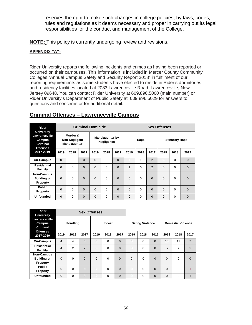reserves the right to make such changes in college policies, by-laws, codes, rules and regulations as it deems necessary and proper in carrying out its legal responsibilities for the conduct and management of the College.

**NOTE:** This policy is currently undergoing review and revisions.

#### **APPENDIX "A"-**

Rider University reports the following incidents and crimes as having been reported or occurred on their campuses. This information is included in Mercer County Community Colleges "Annual Campus Safety and Security Report 2018" in fulfilment of our reporting requirements as some students have elected to reside in Rider's dormitories and residency facilities located at 2083 Lawrenceville Road, Lawrenceville, New Jersey 09648. You can contact Rider University at 609.896.5000 (main number) or Rider University's Department of Public Safety at: 609.896.5029 for answers to questions and concerns or for additional detail.

| Rider                                                                              |          |                                                  | <b>Criminal Homicide</b> |          |                                             |          | <b>Sex Offenses</b> |              |                |                       |          |                |  |  |  |
|------------------------------------------------------------------------------------|----------|--------------------------------------------------|--------------------------|----------|---------------------------------------------|----------|---------------------|--------------|----------------|-----------------------|----------|----------------|--|--|--|
| <b>University</b><br>Lawrenceville<br><b>Campus</b><br>Criminal<br><b>Offenses</b> |          | Murder &<br>Non-Negligent<br><b>Manslaughter</b> |                          |          | <b>Manslaughter by</b><br><b>Negligence</b> |          |                     | Rape         |                | <b>Statutory Rape</b> |          |                |  |  |  |
| 2017-2019                                                                          | 2019     | 2018                                             | 2017                     | 2019     | 2018                                        | 2017     | 2019                | 2018         | 2017           | 2019                  | 2018     | 2017           |  |  |  |
| <b>On-Campus</b>                                                                   | $\Omega$ | $\Omega$                                         | $\Omega$                 | 0        | $\Omega$                                    | $\Omega$ | $\overline{2}$      | $\mathbf{1}$ | $\overline{2}$ | $\Omega$              | $\Omega$ | $\overline{0}$ |  |  |  |
| <b>Residential</b><br>Facility                                                     | $\Omega$ | $\mathbf 0$                                      | $\overline{0}$           | 0        | $\Omega$                                    | $\Omega$ | 1                   | $\Omega$     | $\overline{2}$ | $\Omega$              | $\Omega$ | $\overline{0}$ |  |  |  |
| Non-Campus<br><b>Building or</b><br>Property                                       | $\Omega$ | $\Omega$                                         | $\Omega$                 | 0        | $\Omega$                                    | $\Omega$ | $\Omega$            | $\Omega$     | $\Omega$       | $\Omega$              | $\Omega$ | $\Omega$       |  |  |  |
| <b>Public</b><br><b>Property</b>                                                   | $\Omega$ | $\Omega$                                         | $\Omega$                 | $\Omega$ | $\Omega$                                    | $\Omega$ | $\Omega$            | $\Omega$     | $\Omega$       | $\Omega$              | $\Omega$ | $\Omega$       |  |  |  |
| <b>Unfounded</b>                                                                   | $\Omega$ | $\Omega$                                         | $\Omega$                 | 0        | $\Omega$                                    | $\Omega$ | $\Omega$            | $\Omega$     | $\Omega$       | $\Omega$              | $\Omega$ | $\mathbf 0$    |  |  |  |

#### **Criminal Offenses – Lawrenceville Campus**

| <b>Rider</b><br><b>University</b>                   |                |                 |                | <b>Sex Offenses</b> |          |             |          |                        |             |                   |          |                |  |
|-----------------------------------------------------|----------------|-----------------|----------------|---------------------|----------|-------------|----------|------------------------|-------------|-------------------|----------|----------------|--|
| Lawrenceville<br>Campus<br>Criminal                 |                | <b>Fondling</b> |                |                     | Incest   |             |          | <b>Dating Violence</b> |             | Domestic Violence |          |                |  |
| <b>Offenses</b><br>2017-2019                        | 2019           | 2018            | 2017           | 2019                | 2018     | 2017        | 2019     | 2018                   | 2017        | 2019              | 2018     | 2017           |  |
| On-Campus                                           | $\overline{4}$ | 4               | 3              | $\Omega$            | $\Omega$ | $\Omega$    | $\Omega$ | 0                      | $\Omega$    | 10                | 11       | $\overline{7}$ |  |
| <b>Residential</b><br><b>Facility</b>               | 4              | $\overline{2}$  | $\overline{2}$ | $\Omega$            | $\Omega$ | $\Omega$    | $\Omega$ | $\Omega$               | $\Omega$    | 7                 | 7        | 5              |  |
| <b>Non-Campus</b><br><b>Building or</b><br>Property | 0              | $\Omega$        | $\Omega$       | $\Omega$            | $\Omega$ | $\Omega$    | $\Omega$ | $\Omega$               | $\Omega$    | $\Omega$          | $\Omega$ | $\Omega$       |  |
| <b>Public</b><br><b>Property</b>                    | $\Omega$       | $\Omega$        | $\Omega$       | $\Omega$            | $\Omega$ | $\Omega$    | $\Omega$ | $\Omega$               | $\Omega$    | $\Omega$          | $\Omega$ | 1              |  |
| <b>Unfounded</b>                                    | $\mathbf 0$    | $\mathbf 0$     | $\Omega$       | 0                   | $\Omega$ | $\mathbf 0$ | $\Omega$ | 0                      | $\mathbf 0$ | 0                 | $\Omega$ | 1              |  |